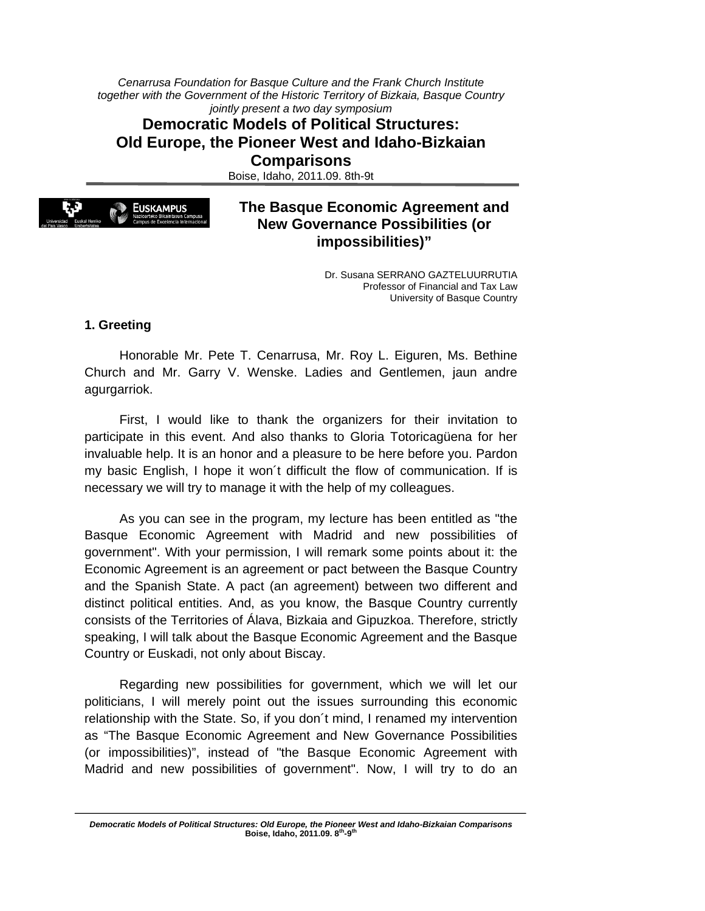*Cenarrusa Foundation for Basque Culture and the Frank Church Institute together with the Government of the Historic Territory of Bizkaia, Basque Country jointly present a two day symposium* 

**Democratic Models of Political Structures: Old Europe, the Pioneer West and Idaho-Bizkaian Comparisons**

Boise, Idaho, 2011.09. 8th-9t



# **The Basque Economic Agreement and New Governance Possibilities (or impossibilities)"**

Dr. Susana SERRANO GAZTELUURRUTIA Professor of Financial and Tax Law University of Basque Country

### **1. Greeting**

Honorable Mr. Pete T. Cenarrusa, Mr. Roy L. Eiguren, Ms. Bethine Church and Mr. Garry V. Wenske. Ladies and Gentlemen, jaun andre agurgarriok.

First, I would like to thank the organizers for their invitation to participate in this event. And also thanks to Gloria Totoricagüena for her invaluable help. It is an honor and a pleasure to be here before you. Pardon my basic English, I hope it won´t difficult the flow of communication. If is necessary we will try to manage it with the help of my colleagues.

As you can see in the program, my lecture has been entitled as "the Basque Economic Agreement with Madrid and new possibilities of government". With your permission, I will remark some points about it: the Economic Agreement is an agreement or pact between the Basque Country and the Spanish State. A pact (an agreement) between two different and distinct political entities. And, as you know, the Basque Country currently consists of the Territories of Álava, Bizkaia and Gipuzkoa. Therefore, strictly speaking, I will talk about the Basque Economic Agreement and the Basque Country or Euskadi, not only about Biscay.

Regarding new possibilities for government, which we will let our politicians, I will merely point out the issues surrounding this economic relationship with the State. So, if you don´t mind, I renamed my intervention as "The Basque Economic Agreement and New Governance Possibilities (or impossibilities)", instead of "the Basque Economic Agreement with Madrid and new possibilities of government". Now, I will try to do an

*Democratic Models of Political Structures: Old Europe, the Pioneer West and Idaho-Bizkaian Comparisons* **Boise, Idaho, 2011.09. 8th-9th**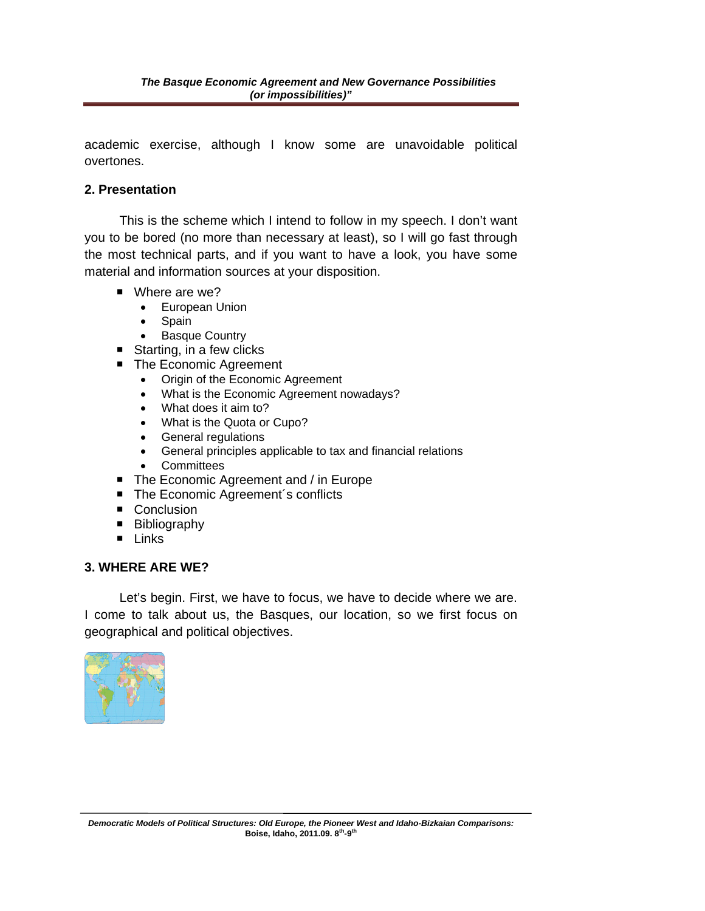academic exercise, although I know some are unavoidable political overtones.

### **2. Presentation**

This is the scheme which I intend to follow in my speech. I don't want you to be bored (no more than necessary at least), so I will go fast through the most technical parts, and if you want to have a look, you have some material and information sources at your disposition.

- Where are we?
	- European Union
	- Spain
	- Basque Country
- Starting, in a few clicks
- The Economic Agreement
	- Origin of the Economic Agreement
	- What is the Economic Agreement nowadays?
	- What does it aim to?
	- What is the Quota or Cupo?
	- General regulations
	- General principles applicable to tax and financial relations
	- Committees
- The Economic Agreement and / in Europe
- The Economic Agreement's conflicts
- Conclusion
- **Bibliography**
- **Links**

#### **3. WHERE ARE WE?**

Let's begin. First, we have to focus, we have to decide where we are. I come to talk about us, the Basques, our location, so we first focus on geographical and political objectives.

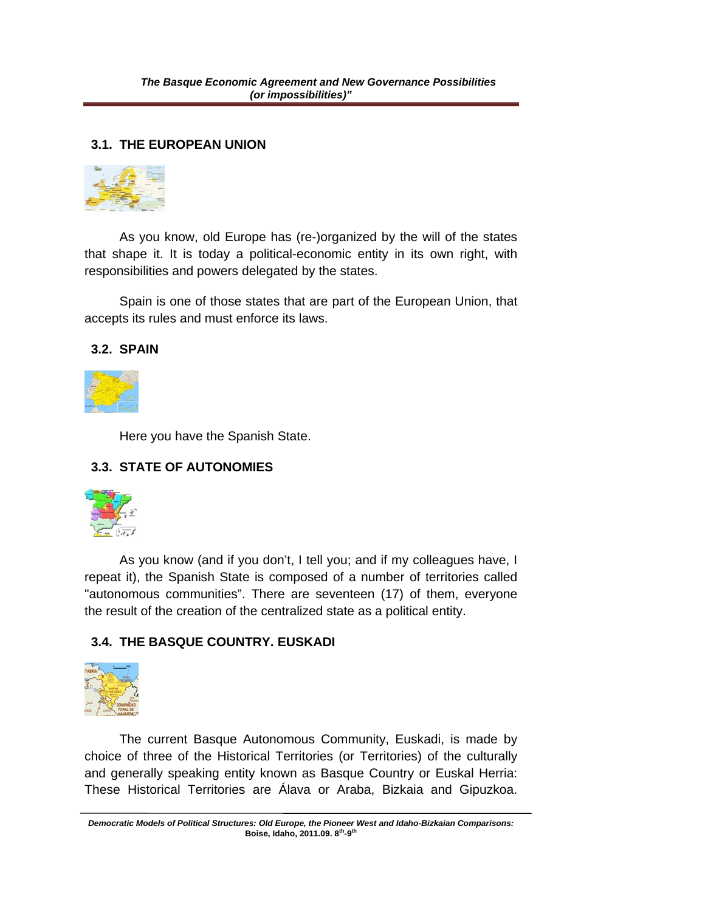### **3.1. THE EUROPEAN UNION**



As you know, old Europe has (re-)organized by the will of the states that shape it. It is today a political-economic entity in its own right, with responsibilities and powers delegated by the states.

Spain is one of those states that are part of the European Union, that accepts its rules and must enforce its laws.

### **3.2. SPAIN**



Here you have the Spanish State.

### **3.3. STATE OF AUTONOMIES**



As you know (and if you don't, I tell you; and if my colleagues have, I repeat it), the Spanish State is composed of a number of territories called "autonomous communities". There are seventeen (17) of them, everyone the result of the creation of the centralized state as a political entity.

### **3.4. THE BASQUE COUNTRY. EUSKADI**



The current Basque Autonomous Community, Euskadi, is made by choice of three of the Historical Territories (or Territories) of the culturally and generally speaking entity known as Basque Country or Euskal Herria: These Historical Territories are Álava or Araba, Bizkaia and Gipuzkoa.

*Democratic Models of Political Structures: Old Europe, the Pioneer West and Idaho-Bizkaian Comparisons:*  **Boise, Idaho, 2011.09. 8th-9th**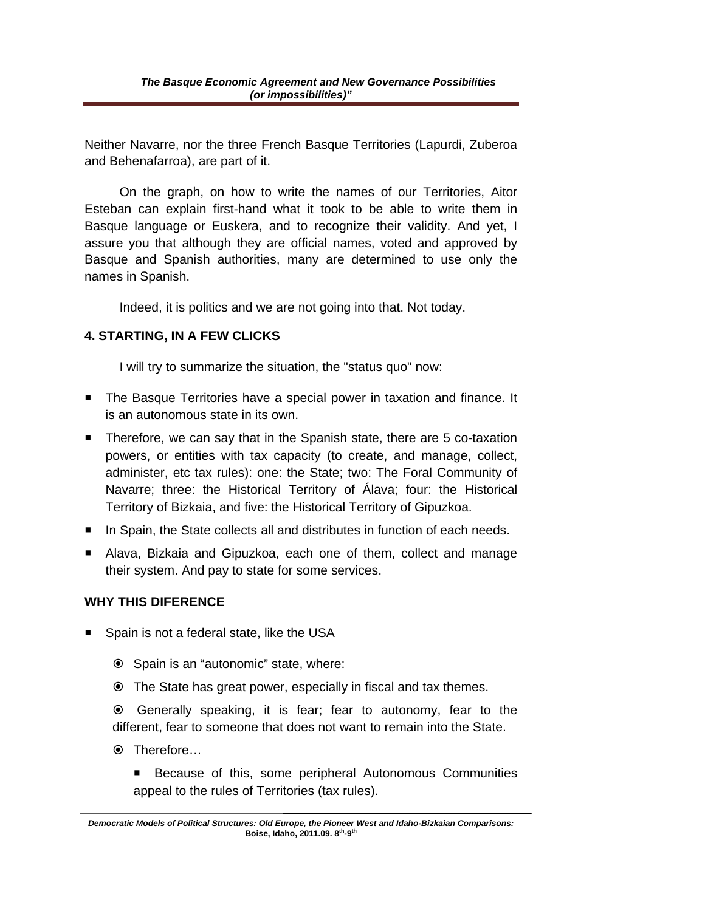Neither Navarre, nor the three French Basque Territories (Lapurdi, Zuberoa and Behenafarroa), are part of it.

On the graph, on how to write the names of our Territories, Aitor Esteban can explain first-hand what it took to be able to write them in Basque language or Euskera, and to recognize their validity. And yet, I assure you that although they are official names, voted and approved by Basque and Spanish authorities, many are determined to use only the names in Spanish.

Indeed, it is politics and we are not going into that. Not today.

# **4. STARTING, IN A FEW CLICKS**

I will try to summarize the situation, the "status quo" now:

- **The Basque Territories have a special power in taxation and finance. It** is an autonomous state in its own.
- Therefore, we can say that in the Spanish state, there are 5 co-taxation powers, or entities with tax capacity (to create, and manage, collect, administer, etc tax rules): one: the State; two: The Foral Community of Navarre; three: the Historical Territory of Álava; four: the Historical Territory of Bizkaia, and five: the Historical Territory of Gipuzkoa.
- In Spain, the State collects all and distributes in function of each needs.
- Alava, Bizkaia and Gipuzkoa, each one of them, collect and manage their system. And pay to state for some services.

## **WHY THIS DIFERENCE**

- Spain is not a federal state, like the USA
	- Spain is an "autonomic" state, where:
	- The State has great power, especially in fiscal and tax themes.

 Generally speaking, it is fear; fear to autonomy, fear to the different, fear to someone that does not want to remain into the State.

- Therefore…
	- **Because of this, some peripheral Autonomous Communities** appeal to the rules of Territories (tax rules).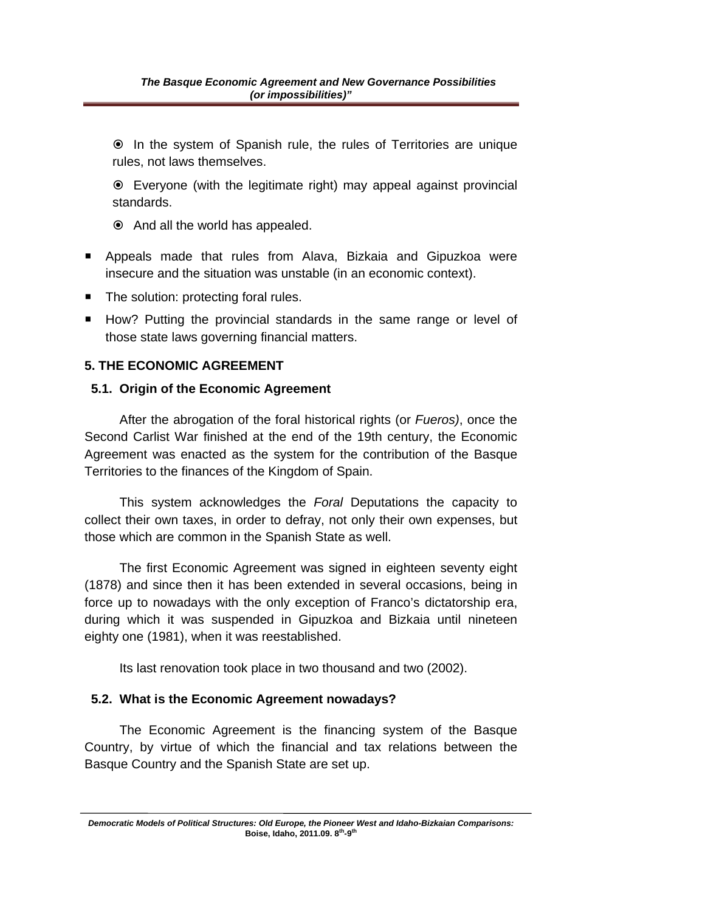In the system of Spanish rule, the rules of Territories are unique rules, not laws themselves.

 Everyone (with the legitimate right) may appeal against provincial standards.

- And all the world has appealed.
- Appeals made that rules from Alava, Bizkaia and Gipuzkoa were insecure and the situation was unstable (in an economic context).
- The solution: protecting foral rules.
- How? Putting the provincial standards in the same range or level of those state laws governing financial matters.

## **5. THE ECONOMIC AGREEMENT**

### **5.1. Origin of the Economic Agreement**

After the abrogation of the foral historical rights (or *Fueros)*, once the Second Carlist War finished at the end of the 19th century, the Economic Agreement was enacted as the system for the contribution of the Basque Territories to the finances of the Kingdom of Spain.

This system acknowledges the *Foral* Deputations the capacity to collect their own taxes, in order to defray, not only their own expenses, but those which are common in the Spanish State as well.

The first Economic Agreement was signed in eighteen seventy eight (1878) and since then it has been extended in several occasions, being in force up to nowadays with the only exception of Franco's dictatorship era, during which it was suspended in Gipuzkoa and Bizkaia until nineteen eighty one (1981), when it was reestablished.

Its last renovation took place in two thousand and two (2002).

## **5.2. What is the Economic Agreement nowadays?**

The Economic Agreement is the financing system of the Basque Country, by virtue of which the financial and tax relations between the Basque Country and the Spanish State are set up.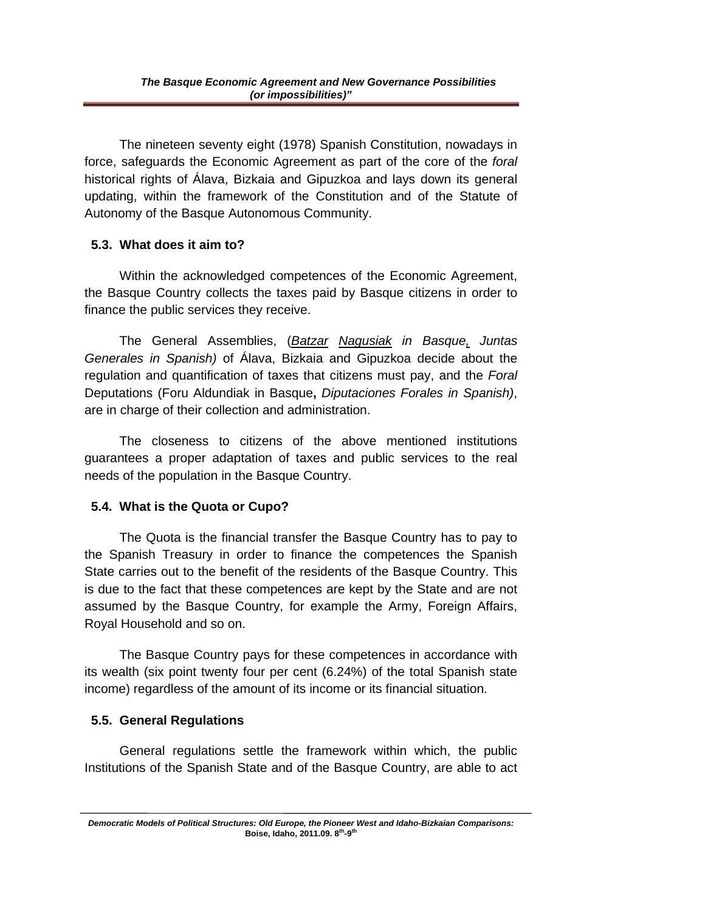The nineteen seventy eight (1978) Spanish Constitution, nowadays in force, safeguards the Economic Agreement as part of the core of the *foral* historical rights of Álava, Bizkaia and Gipuzkoa and lays down its general updating, within the framework of the Constitution and of the Statute of Autonomy of the Basque Autonomous Community.

# **5.3. What does it aim to?**

Within the acknowledged competences of the Economic Agreement, the Basque Country collects the taxes paid by Basque citizens in order to finance the public services they receive.

The General Assemblies, (*Batzar Nagusiak in Basque, Juntas Generales in Spanish)* of Álava, Bizkaia and Gipuzkoa decide about the regulation and quantification of taxes that citizens must pay, and the *Foral* Deputations (Foru Aldundiak in Basque**,** *Diputaciones Forales in Spanish)*, are in charge of their collection and administration.

The closeness to citizens of the above mentioned institutions guarantees a proper adaptation of taxes and public services to the real needs of the population in the Basque Country.

# **5.4. What is the Quota or Cupo?**

The Quota is the financial transfer the Basque Country has to pay to the Spanish Treasury in order to finance the competences the Spanish State carries out to the benefit of the residents of the Basque Country. This is due to the fact that these competences are kept by the State and are not assumed by the Basque Country, for example the Army, Foreign Affairs, Royal Household and so on.

The Basque Country pays for these competences in accordance with its wealth (six point twenty four per cent (6.24%) of the total Spanish state income) regardless of the amount of its income or its financial situation.

# **5.5. General Regulations**

General regulations settle the framework within which, the public Institutions of the Spanish State and of the Basque Country, are able to act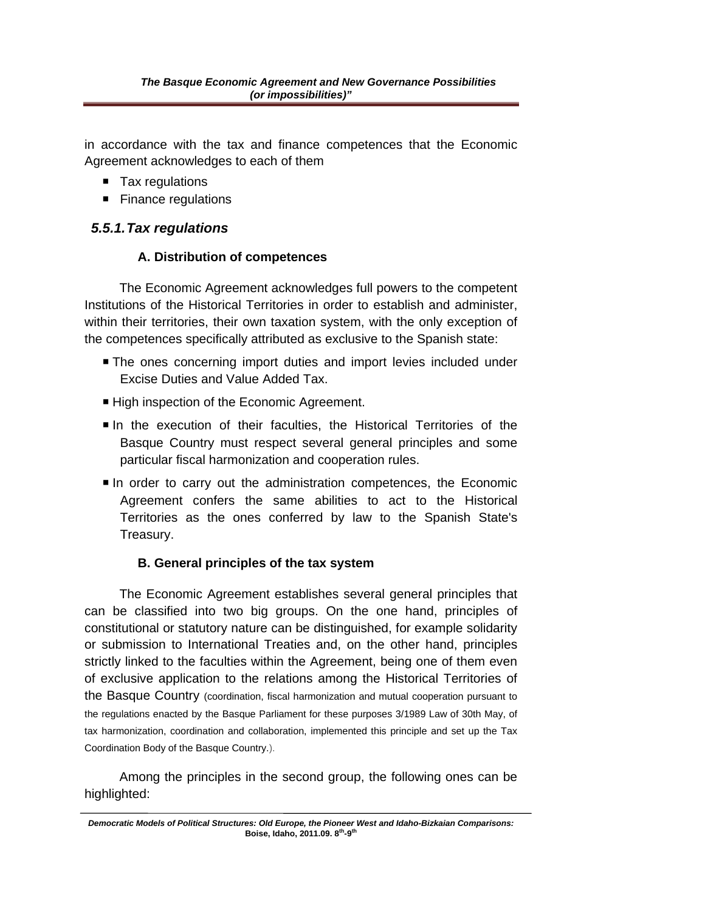in accordance with the tax and finance competences that the Economic Agreement acknowledges to each of them

- Tax regulations
- **Finance regulations**

# *5.5.1. Tax regulations*

## **A. Distribution of competences**

The Economic Agreement acknowledges full powers to the competent Institutions of the Historical Territories in order to establish and administer, within their territories, their own taxation system, with the only exception of the competences specifically attributed as exclusive to the Spanish state:

- **The ones concerning import duties and import levies included under** Excise Duties and Value Added Tax.
- High inspection of the Economic Agreement.
- In the execution of their faculties, the Historical Territories of the Basque Country must respect several general principles and some particular fiscal harmonization and cooperation rules.
- In order to carry out the administration competences, the Economic Agreement confers the same abilities to act to the Historical Territories as the ones conferred by law to the Spanish State's Treasury.

## **B. General principles of the tax system**

The Economic Agreement establishes several general principles that can be classified into two big groups. On the one hand, principles of constitutional or statutory nature can be distinguished, for example solidarity or submission to International Treaties and, on the other hand, principles strictly linked to the faculties within the Agreement, being one of them even of exclusive application to the relations among the Historical Territories of the Basque Country (coordination, fiscal harmonization and mutual cooperation pursuant to the regulations enacted by the Basque Parliament for these purposes 3/1989 Law of 30th May, of tax harmonization, coordination and collaboration, implemented this principle and set up the Tax Coordination Body of the Basque Country.).

Among the principles in the second group, the following ones can be highlighted:

*Democratic Models of Political Structures: Old Europe, the Pioneer West and Idaho-Bizkaian Comparisons:*  **Boise, Idaho, 2011.09. 8th-9th**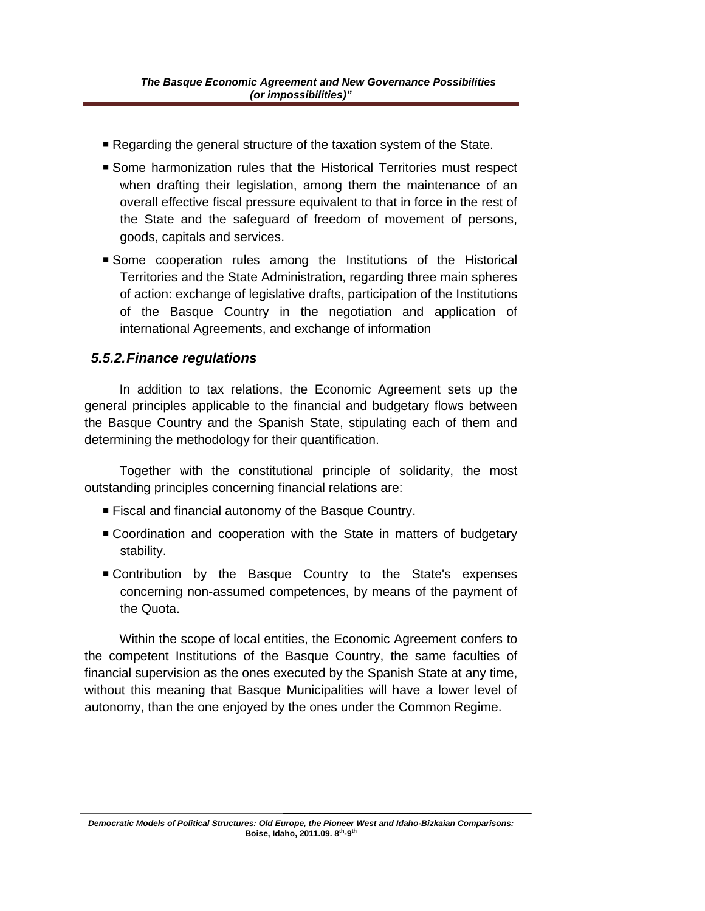- Regarding the general structure of the taxation system of the State.
- Some harmonization rules that the Historical Territories must respect when drafting their legislation, among them the maintenance of an overall effective fiscal pressure equivalent to that in force in the rest of the State and the safeguard of freedom of movement of persons, goods, capitals and services.
- Some cooperation rules among the Institutions of the Historical Territories and the State Administration, regarding three main spheres of action: exchange of legislative drafts, participation of the Institutions of the Basque Country in the negotiation and application of international Agreements, and exchange of information

## *5.5.2. Finance regulations*

In addition to tax relations, the Economic Agreement sets up the general principles applicable to the financial and budgetary flows between the Basque Country and the Spanish State, stipulating each of them and determining the methodology for their quantification.

Together with the constitutional principle of solidarity, the most outstanding principles concerning financial relations are:

- Fiscal and financial autonomy of the Basque Country.
- Coordination and cooperation with the State in matters of budgetary stability.
- Contribution by the Basque Country to the State's expenses concerning non-assumed competences, by means of the payment of the Quota.

Within the scope of local entities, the Economic Agreement confers to the competent Institutions of the Basque Country, the same faculties of financial supervision as the ones executed by the Spanish State at any time, without this meaning that Basque Municipalities will have a lower level of autonomy, than the one enjoyed by the ones under the Common Regime.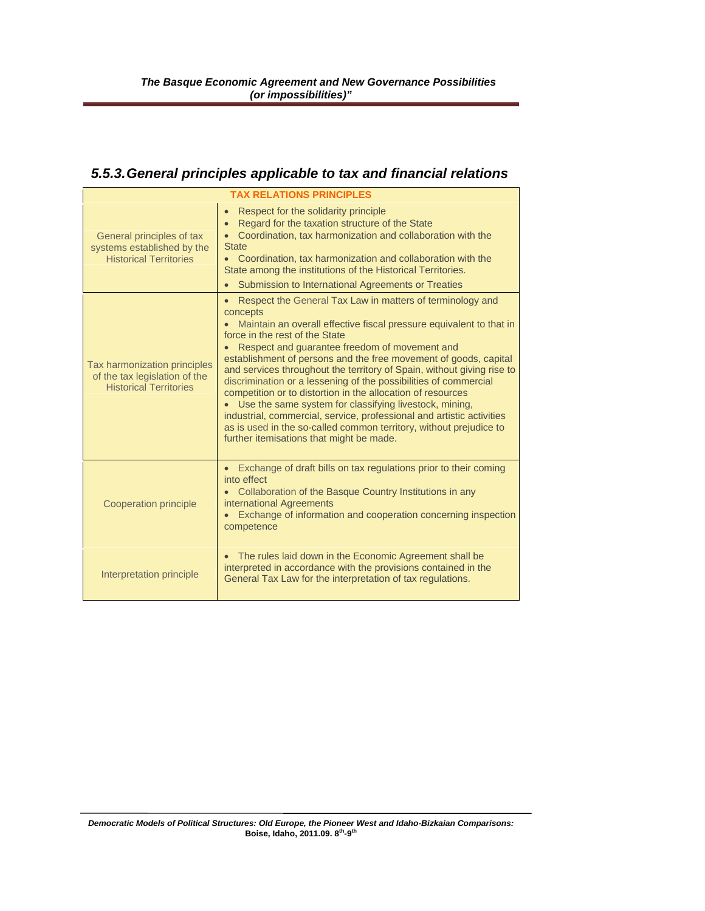# *5.5.3. General principles applicable to tax and financial relations*

| <b>TAX RELATIONS PRINCIPLES</b>                                                                       |                                                                                                                                                                                                                                                                                                                                                                                                                                                                                                                                                                                                                                                                                                                                                                                    |  |  |  |
|-------------------------------------------------------------------------------------------------------|------------------------------------------------------------------------------------------------------------------------------------------------------------------------------------------------------------------------------------------------------------------------------------------------------------------------------------------------------------------------------------------------------------------------------------------------------------------------------------------------------------------------------------------------------------------------------------------------------------------------------------------------------------------------------------------------------------------------------------------------------------------------------------|--|--|--|
| General principles of tax<br>systems established by the<br><b>Historical Territories</b>              | Respect for the solidarity principle<br>Regard for the taxation structure of the State<br>Coordination, tax harmonization and collaboration with the<br><b>State</b><br>• Coordination, tax harmonization and collaboration with the<br>State among the institutions of the Historical Territories.<br>Submission to International Agreements or Treaties                                                                                                                                                                                                                                                                                                                                                                                                                          |  |  |  |
| <b>Tax harmonization principles</b><br>of the tax legislation of the<br><b>Historical Territories</b> | Respect the General Tax Law in matters of terminology and<br>$\bullet$<br>concepts<br>Maintain an overall effective fiscal pressure equivalent to that in<br>force in the rest of the State<br>Respect and guarantee freedom of movement and<br>establishment of persons and the free movement of goods, capital<br>and services throughout the territory of Spain, without giving rise to<br>discrimination or a lessening of the possibilities of commercial<br>competition or to distortion in the allocation of resources<br>Use the same system for classifying livestock, mining,<br>industrial, commercial, service, professional and artistic activities<br>as is used in the so-called common territory, without prejudice to<br>further itemisations that might be made. |  |  |  |
| <b>Cooperation principle</b>                                                                          | Exchange of draft bills on tax regulations prior to their coming<br>into effect<br>Collaboration of the Basque Country Institutions in any<br>international Agreements<br>Exchange of information and cooperation concerning inspection<br>competence                                                                                                                                                                                                                                                                                                                                                                                                                                                                                                                              |  |  |  |
| Interpretation principle                                                                              | • The rules laid down in the Economic Agreement shall be<br>interpreted in accordance with the provisions contained in the<br>General Tax Law for the interpretation of tax regulations.                                                                                                                                                                                                                                                                                                                                                                                                                                                                                                                                                                                           |  |  |  |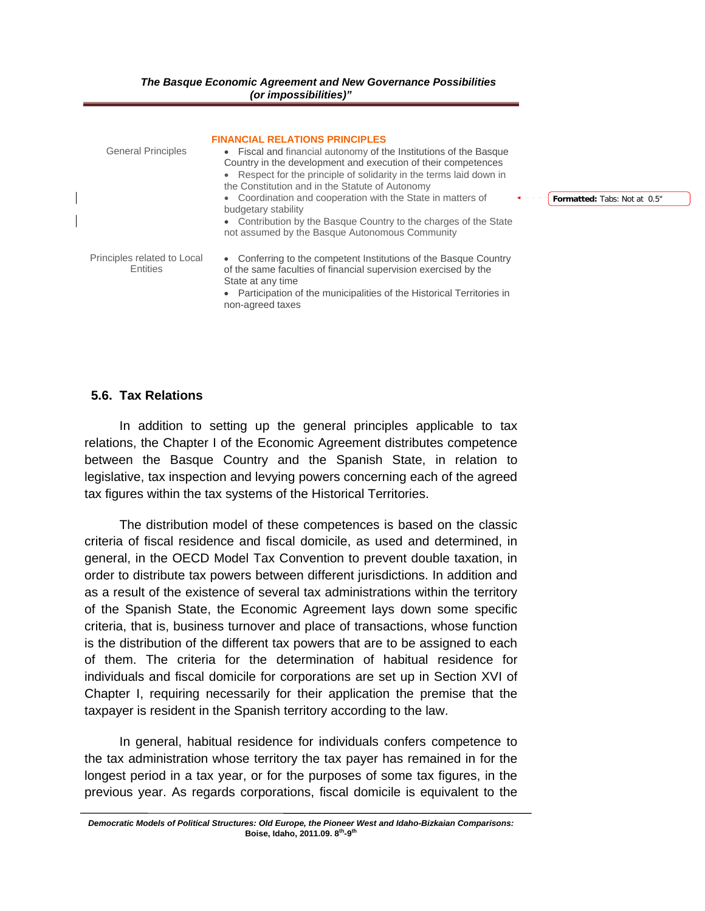| <b>General Principles</b>               | <b>FINANCIAL RELATIONS PRINCIPLES</b><br>• Fiscal and financial autonomy of the Institutions of the Basque<br>Country in the development and execution of their competences<br>• Respect for the principle of solidarity in the terms laid down in<br>the Constitution and in the Statute of Autonomy<br>• Coordination and cooperation with the State in matters of<br>budgetary stability<br>• Contribution by the Basque Country to the charges of the State<br>not assumed by the Basque Autonomous Community |  |
|-----------------------------------------|-------------------------------------------------------------------------------------------------------------------------------------------------------------------------------------------------------------------------------------------------------------------------------------------------------------------------------------------------------------------------------------------------------------------------------------------------------------------------------------------------------------------|--|
| Principles related to Local<br>Entities | • Conferring to the competent Institutions of the Basque Country<br>of the same faculties of financial supervision exercised by the<br>State at any time<br>• Participation of the municipalities of the Historical Territories in<br>non-agreed taxes                                                                                                                                                                                                                                                            |  |

**Formatted:** Tabs: Not at 0.5"

#### **5.6. Tax Relations**

In addition to setting up the general principles applicable to tax relations, the Chapter I of the Economic Agreement distributes competence between the Basque Country and the Spanish State, in relation to legislative, tax inspection and levying powers concerning each of the agreed tax figures within the tax systems of the Historical Territories.

The distribution model of these competences is based on the classic criteria of fiscal residence and fiscal domicile, as used and determined, in general, in the OECD Model Tax Convention to prevent double taxation, in order to distribute tax powers between different jurisdictions. In addition and as a result of the existence of several tax administrations within the territory of the Spanish State, the Economic Agreement lays down some specific criteria, that is, business turnover and place of transactions, whose function is the distribution of the different tax powers that are to be assigned to each of them. The criteria for the determination of habitual residence for individuals and fiscal domicile for corporations are set up in Section XVI of Chapter I, requiring necessarily for their application the premise that the taxpayer is resident in the Spanish territory according to the law.

In general, habitual residence for individuals confers competence to the tax administration whose territory the tax payer has remained in for the longest period in a tax year, or for the purposes of some tax figures, in the previous year. As regards corporations, fiscal domicile is equivalent to the

*Democratic Models of Political Structures: Old Europe, the Pioneer West and Idaho-Bizkaian Comparisons:*  **Boise, Idaho, 2011.09. 8th-9th**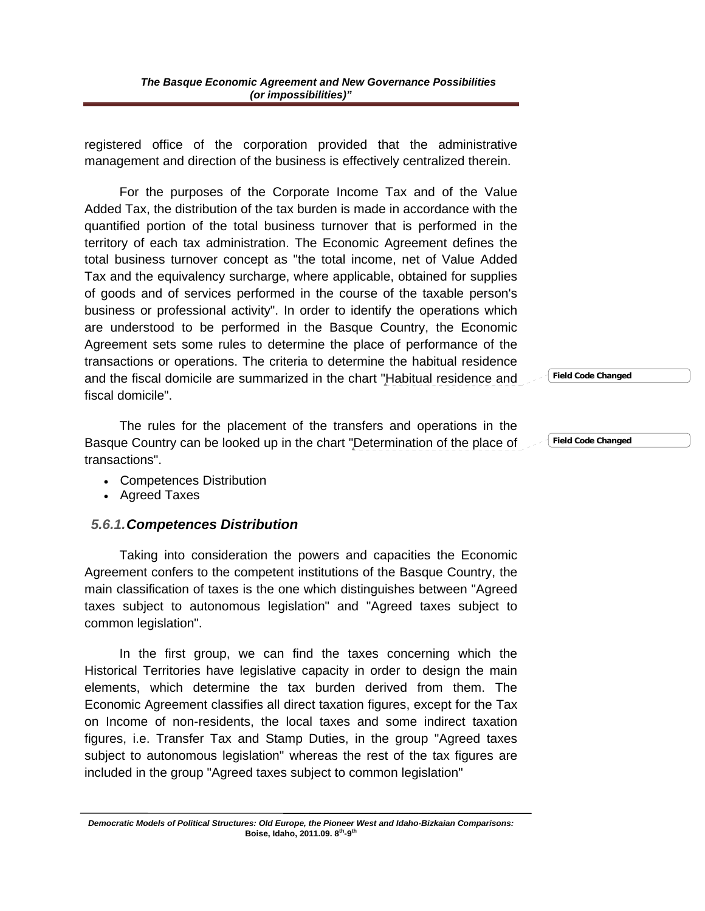registered office of the corporation provided that the administrative management and direction of the business is effectively centralized therein.

For the purposes of the Corporate Income Tax and of the Value Added Tax, the distribution of the tax burden is made in accordance with the quantified portion of the total business turnover that is performed in the territory of each tax administration. The Economic Agreement defines the total business turnover concept as "the total income, net of Value Added Tax and the equivalency surcharge, where applicable, obtained for supplies of goods and of services performed in the course of the taxable person's business or professional activity". In order to identify the operations which are understood to be performed in the Basque Country, the Economic Agreement sets some rules to determine the place of performance of the transactions or operations. The criteria to determine the habitual residence and the fiscal domicile are summarized in the chart "Habitual residence and fiscal domicile".

The rules for the placement of the transfers and operations in the Basque Country can be looked up in the chart "Determination of the place of transactions".

- Competences Distribution
- Agreed Taxes

### *5.6.1. Competences Distribution*

Taking into consideration the powers and capacities the Economic Agreement confers to the competent institutions of the Basque Country, the main classification of taxes is the one which distinguishes between "Agreed taxes subject to autonomous legislation" and "Agreed taxes subject to common legislation".

In the first group, we can find the taxes concerning which the Historical Territories have legislative capacity in order to design the main elements, which determine the tax burden derived from them. The Economic Agreement classifies all direct taxation figures, except for the Tax on Income of non-residents, the local taxes and some indirect taxation figures, i.e. Transfer Tax and Stamp Duties, in the group "Agreed taxes subject to autonomous legislation" whereas the rest of the tax figures are included in the group "Agreed taxes subject to common legislation"

**Field Code Changed**

**Field Code Changed**

*Democratic Models of Political Structures: Old Europe, the Pioneer West and Idaho-Bizkaian Comparisons:*  **Boise, Idaho, 2011.09. 8th-9th**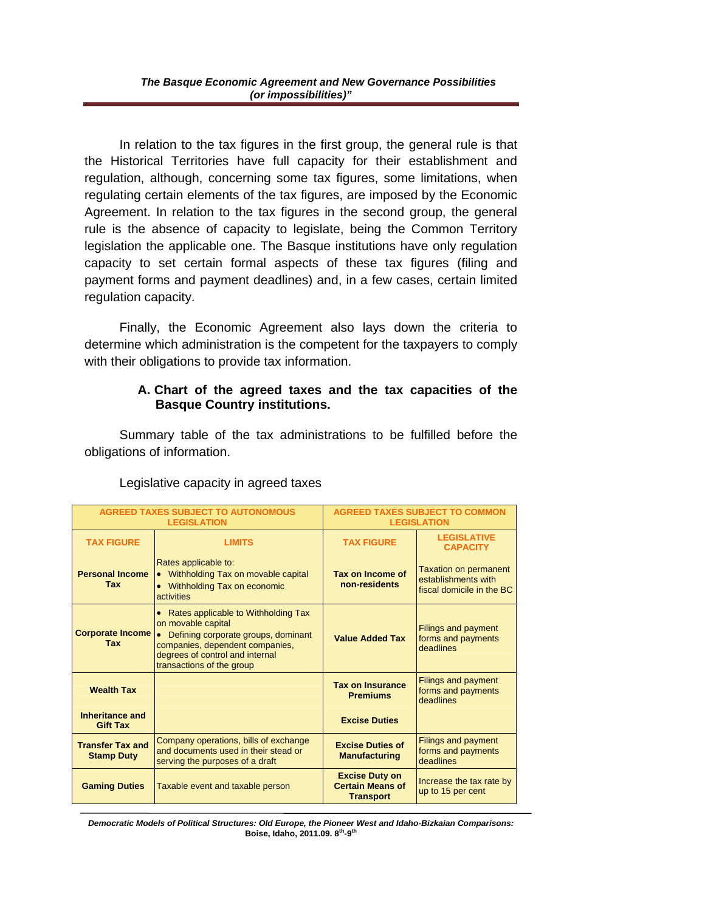In relation to the tax figures in the first group, the general rule is that the Historical Territories have full capacity for their establishment and regulation, although, concerning some tax figures, some limitations, when regulating certain elements of the tax figures, are imposed by the Economic Agreement. In relation to the tax figures in the second group, the general rule is the absence of capacity to legislate, being the Common Territory legislation the applicable one. The Basque institutions have only regulation capacity to set certain formal aspects of these tax figures (filing and payment forms and payment deadlines) and, in a few cases, certain limited regulation capacity.

Finally, the Economic Agreement also lays down the criteria to determine which administration is the competent for the taxpayers to comply with their obligations to provide tax information.

### **A. Chart of the agreed taxes and the tax capacities of the Basque Country institutions.**

Summary table of the tax administrations to be fulfilled before the obligations of information.

| <b>AGREED TAXES SUBJECT TO AUTONOMOUS</b><br><b>LEGISLATION</b>                                                                                                  |                                                                                                                                                                                                                        | <b>AGREED TAXES SUBJECT TO COMMON</b><br><b>LEGISLATION</b>          |                                                                                  |
|------------------------------------------------------------------------------------------------------------------------------------------------------------------|------------------------------------------------------------------------------------------------------------------------------------------------------------------------------------------------------------------------|----------------------------------------------------------------------|----------------------------------------------------------------------------------|
| <b>TAX FIGURE</b>                                                                                                                                                | <b>LIMITS</b>                                                                                                                                                                                                          |                                                                      | <b>LEGISLATIVE</b><br><b>CAPACITY</b>                                            |
| <b>Personal Income</b><br><b>Tax</b>                                                                                                                             | Rates applicable to:<br>• Withholding Tax on movable capital<br>• Withholding Tax on economic<br>activities                                                                                                            | Tax on Income of<br>non-residents                                    | <b>Taxation on permanent</b><br>establishments with<br>fiscal domicile in the BC |
| <b>Tax</b>                                                                                                                                                       | Rates applicable to Withholding Tax<br>on movable capital<br>Corporate Income . Defining corporate groups, dominant<br>companies, dependent companies,<br>degrees of control and internal<br>transactions of the group | <b>Value Added Tax</b><br>forms and payments                         |                                                                                  |
| <b>Wealth Tax</b>                                                                                                                                                | <b>Tax on Insurance</b><br><b>Premiums</b>                                                                                                                                                                             |                                                                      | <b>Filings and payment</b><br>forms and payments<br>deadlines                    |
| Inheritance and<br><b>Gift Tax</b>                                                                                                                               |                                                                                                                                                                                                                        | <b>Excise Duties</b>                                                 |                                                                                  |
| Company operations, bills of exchange<br><b>Transfer Tax and</b><br>and documents used in their stead or<br><b>Stamp Duty</b><br>serving the purposes of a draft |                                                                                                                                                                                                                        | <b>Excise Duties of</b><br><b>Manufacturing</b>                      | <b>Filings and payment</b><br>forms and payments<br>deadlines                    |
| <b>Gaming Duties</b><br>Taxable event and taxable person                                                                                                         |                                                                                                                                                                                                                        | <b>Excise Duty on</b><br><b>Certain Means of</b><br><b>Transport</b> | Increase the tax rate by<br>up to 15 per cent                                    |

### Legislative capacity in agreed taxes

*Democratic Models of Political Structures: Old Europe, the Pioneer West and Idaho-Bizkaian Comparisons:*  **Boise, Idaho, 2011.09. 8th-9th**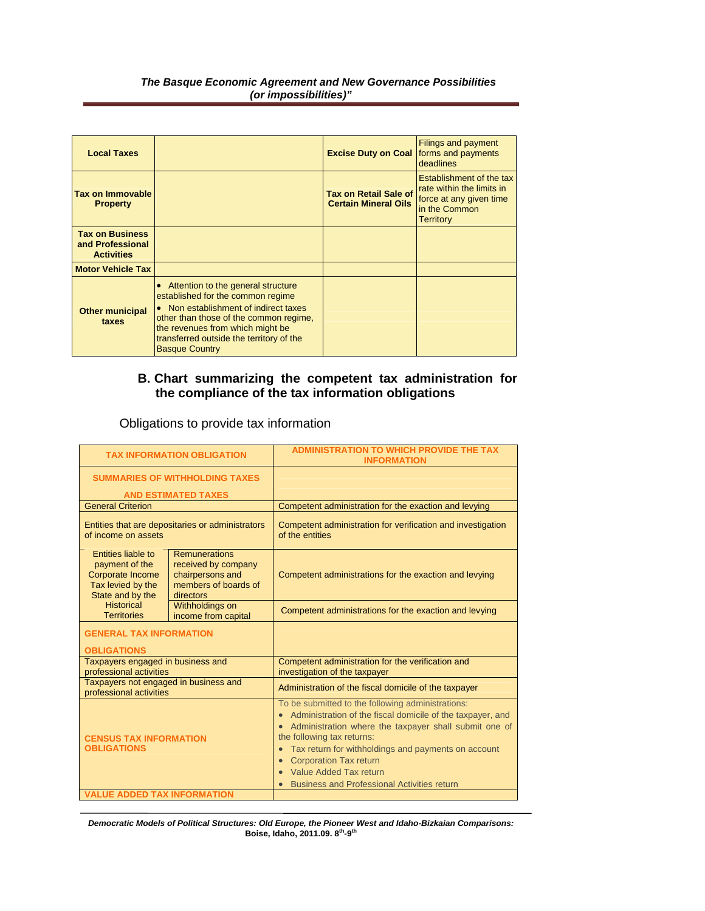#### *The Basque Economic Agreement and New Governance Possibilities (or impossibilities)"*

| <b>Local Taxes</b>                                              |                                                                                                                                                                                                                                                                   | <b>Excise Duty on Coal   forms and payments</b>             | <b>Filings and payment</b><br>deadlines                                                                        |
|-----------------------------------------------------------------|-------------------------------------------------------------------------------------------------------------------------------------------------------------------------------------------------------------------------------------------------------------------|-------------------------------------------------------------|----------------------------------------------------------------------------------------------------------------|
| Tax on Immovable<br><b>Property</b>                             |                                                                                                                                                                                                                                                                   | <b>Tax on Retail Sale of</b><br><b>Certain Mineral Oils</b> | Establishment of the tax<br>rate within the limits in<br>force at any given time<br>in the Common<br>Territory |
| <b>Tax on Business</b><br>and Professional<br><b>Activities</b> |                                                                                                                                                                                                                                                                   |                                                             |                                                                                                                |
| <b>Motor Vehicle Tax</b>                                        |                                                                                                                                                                                                                                                                   |                                                             |                                                                                                                |
| <b>Other municipal</b><br>taxes                                 | Attention to the general structure<br>established for the common regime<br>Non establishment of indirect taxes<br>other than those of the common regime,<br>the revenues from which might be<br>transferred outside the territory of the<br><b>Basque Country</b> |                                                             |                                                                                                                |

#### **B. Chart summarizing the competent tax administration for the compliance of the tax information obligations**

| Obligations to provide tax information |  |  |  |
|----------------------------------------|--|--|--|
|----------------------------------------|--|--|--|

| <b>TAX INFORMATION OBLIGATION</b>                                                                                                                                                                                       |                                        | <b>ADMINISTRATION TO WHICH PROVIDE THE TAX</b><br><b>INFORMATION</b>                                                                                                                                                                                                                                                                                                                                                    |
|-------------------------------------------------------------------------------------------------------------------------------------------------------------------------------------------------------------------------|----------------------------------------|-------------------------------------------------------------------------------------------------------------------------------------------------------------------------------------------------------------------------------------------------------------------------------------------------------------------------------------------------------------------------------------------------------------------------|
| <b>SUMMARIES OF WITHHOLDING TAXES</b>                                                                                                                                                                                   |                                        |                                                                                                                                                                                                                                                                                                                                                                                                                         |
|                                                                                                                                                                                                                         | <b>AND ESTIMATED TAXES</b>             |                                                                                                                                                                                                                                                                                                                                                                                                                         |
| <b>General Criterion</b>                                                                                                                                                                                                |                                        | Competent administration for the exaction and levying                                                                                                                                                                                                                                                                                                                                                                   |
| Entities that are depositaries or administrators<br>of income on assets                                                                                                                                                 |                                        | Competent administration for verification and investigation<br>of the entities                                                                                                                                                                                                                                                                                                                                          |
| <b>Entities liable to</b><br><b>Remunerations</b><br>received by company<br>payment of the<br>chairpersons and<br><b>Corporate Income</b><br>members of boards of<br>Tax levied by the<br>State and by the<br>directors |                                        | Competent administrations for the exaction and levying                                                                                                                                                                                                                                                                                                                                                                  |
| <b>Historical</b><br><b>Territories</b>                                                                                                                                                                                 | Withholdings on<br>income from capital | Competent administrations for the exaction and levying                                                                                                                                                                                                                                                                                                                                                                  |
| <b>GENERAL TAX INFORMATION</b>                                                                                                                                                                                          |                                        |                                                                                                                                                                                                                                                                                                                                                                                                                         |
| <b>OBLIGATIONS</b>                                                                                                                                                                                                      |                                        |                                                                                                                                                                                                                                                                                                                                                                                                                         |
| Taxpayers engaged in business and<br>professional activities                                                                                                                                                            |                                        | Competent administration for the verification and<br>investigation of the taxpayer                                                                                                                                                                                                                                                                                                                                      |
| Taxpayers not engaged in business and<br>professional activities                                                                                                                                                        |                                        | Administration of the fiscal domicile of the taxpayer                                                                                                                                                                                                                                                                                                                                                                   |
| <b>CENSUS TAX INFORMATION</b><br><b>OBLIGATIONS</b>                                                                                                                                                                     |                                        | To be submitted to the following administrations:<br>Administration of the fiscal domicile of the taxpayer, and<br>$\bullet$<br>• Administration where the taxpayer shall submit one of<br>the following tax returns:<br>Tax return for withholdings and payments on account<br>$\bullet$<br><b>Corporation Tax return</b><br>$\bullet$<br>Value Added Tax return<br><b>Business and Professional Activities return</b> |
| <b>VALUE ADDED TAX INFORMATION</b>                                                                                                                                                                                      |                                        |                                                                                                                                                                                                                                                                                                                                                                                                                         |

*Democratic Models of Political Structures: Old Europe, the Pioneer West and Idaho-Bizkaian Comparisons:*  **Boise, Idaho, 2011.09. 8th-9th**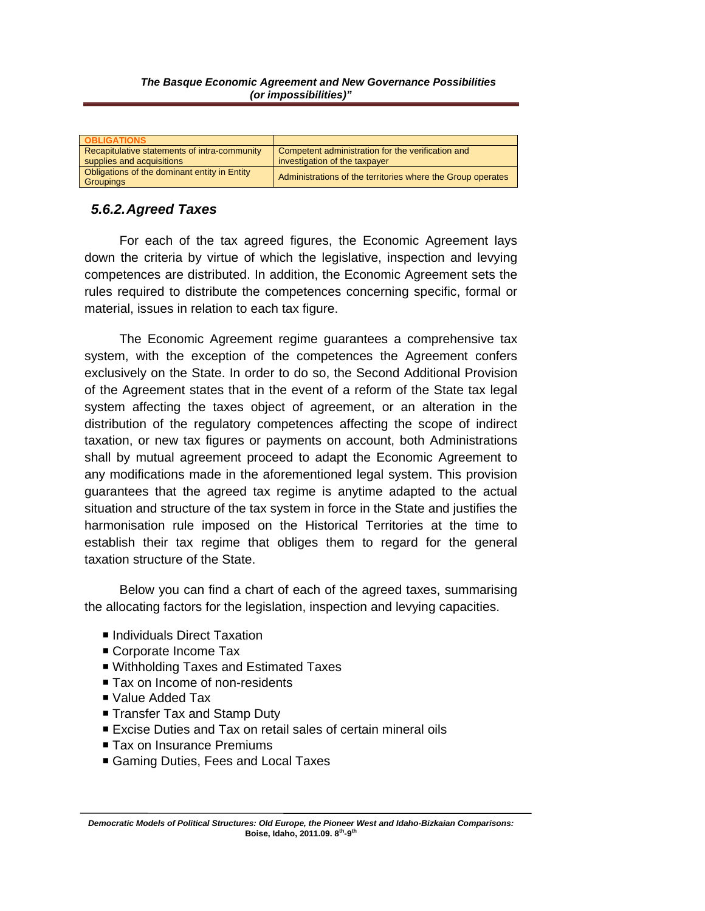| <b>OBLIGATIONS</b>                                        |                                                             |
|-----------------------------------------------------------|-------------------------------------------------------------|
| Recapitulative statements of intra-community              | Competent administration for the verification and           |
| supplies and acquisitions                                 | investigation of the taxpayer                               |
| Obligations of the dominant entity in Entity<br>Groupings | Administrations of the territories where the Group operates |

## *5.6.2. Agreed Taxes*

For each of the tax agreed figures, the Economic Agreement lays down the criteria by virtue of which the legislative, inspection and levying competences are distributed. In addition, the Economic Agreement sets the rules required to distribute the competences concerning specific, formal or material, issues in relation to each tax figure.

The Economic Agreement regime guarantees a comprehensive tax system, with the exception of the competences the Agreement confers exclusively on the State. In order to do so, the Second Additional Provision of the Agreement states that in the event of a reform of the State tax legal system affecting the taxes object of agreement, or an alteration in the distribution of the regulatory competences affecting the scope of indirect taxation, or new tax figures or payments on account, both Administrations shall by mutual agreement proceed to adapt the Economic Agreement to any modifications made in the aforementioned legal system. This provision guarantees that the agreed tax regime is anytime adapted to the actual situation and structure of the tax system in force in the State and justifies the harmonisation rule imposed on the Historical Territories at the time to establish their tax regime that obliges them to regard for the general taxation structure of the State.

Below you can find a chart of each of the agreed taxes, summarising the allocating factors for the legislation, inspection and levying capacities.

- Individuals Direct Taxation
- Corporate Income Tax
- Withholding Taxes and Estimated Taxes
- Tax on Income of non-residents
- Value Added Tax
- Transfer Tax and Stamp Duty
- Excise Duties and Tax on retail sales of certain mineral oils
- Tax on Insurance Premiums
- Gaming Duties, Fees and Local Taxes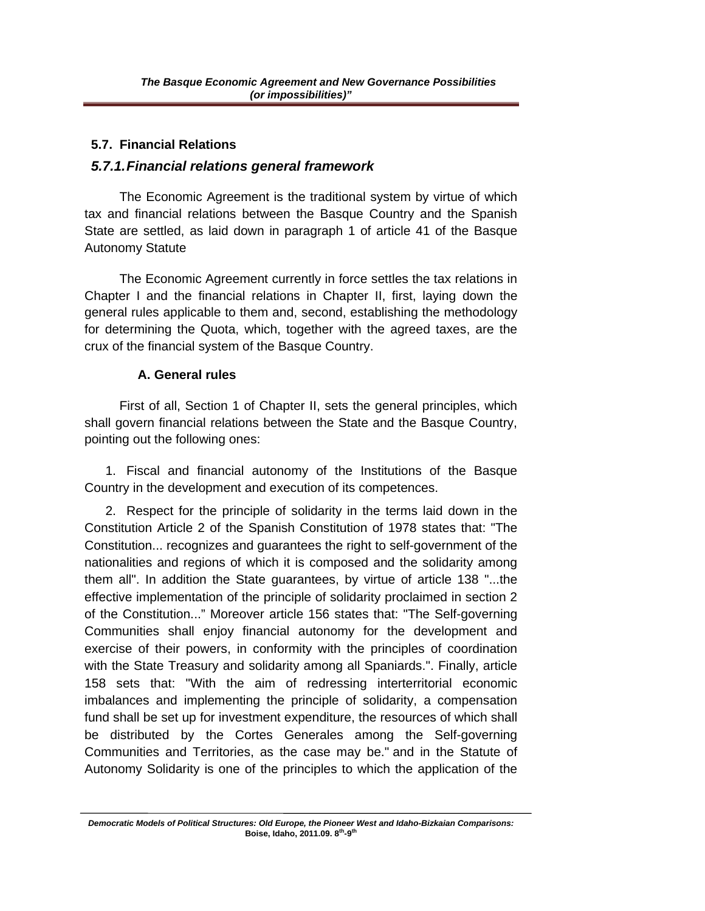### **5.7. Financial Relations**

## *5.7.1. Financial relations general framework*

The Economic Agreement is the traditional system by virtue of which tax and financial relations between the Basque Country and the Spanish State are settled, as laid down in paragraph 1 of article 41 of the Basque Autonomy Statute

The Economic Agreement currently in force settles the tax relations in Chapter I and the financial relations in Chapter II, first, laying down the general rules applicable to them and, second, establishing the methodology for determining the Quota, which, together with the agreed taxes, are the crux of the financial system of the Basque Country.

### **A. General rules**

First of all, Section 1 of Chapter II, sets the general principles, which shall govern financial relations between the State and the Basque Country, pointing out the following ones:

1. Fiscal and financial autonomy of the Institutions of the Basque Country in the development and execution of its competences.

2. Respect for the principle of solidarity in the terms laid down in the Constitution Article 2 of the Spanish Constitution of 1978 states that: "The Constitution... recognizes and guarantees the right to self-government of the nationalities and regions of which it is composed and the solidarity among them all". In addition the State guarantees, by virtue of article 138 "...the effective implementation of the principle of solidarity proclaimed in section 2 of the Constitution..." Moreover article 156 states that: "The Self-governing Communities shall enjoy financial autonomy for the development and exercise of their powers, in conformity with the principles of coordination with the State Treasury and solidarity among all Spaniards.". Finally, article 158 sets that: "With the aim of redressing interterritorial economic imbalances and implementing the principle of solidarity, a compensation fund shall be set up for investment expenditure, the resources of which shall be distributed by the Cortes Generales among the Self-governing Communities and Territories, as the case may be." and in the Statute of Autonomy Solidarity is one of the principles to which the application of the

*Democratic Models of Political Structures: Old Europe, the Pioneer West and Idaho-Bizkaian Comparisons:*  **Boise, Idaho, 2011.09. 8th-9th**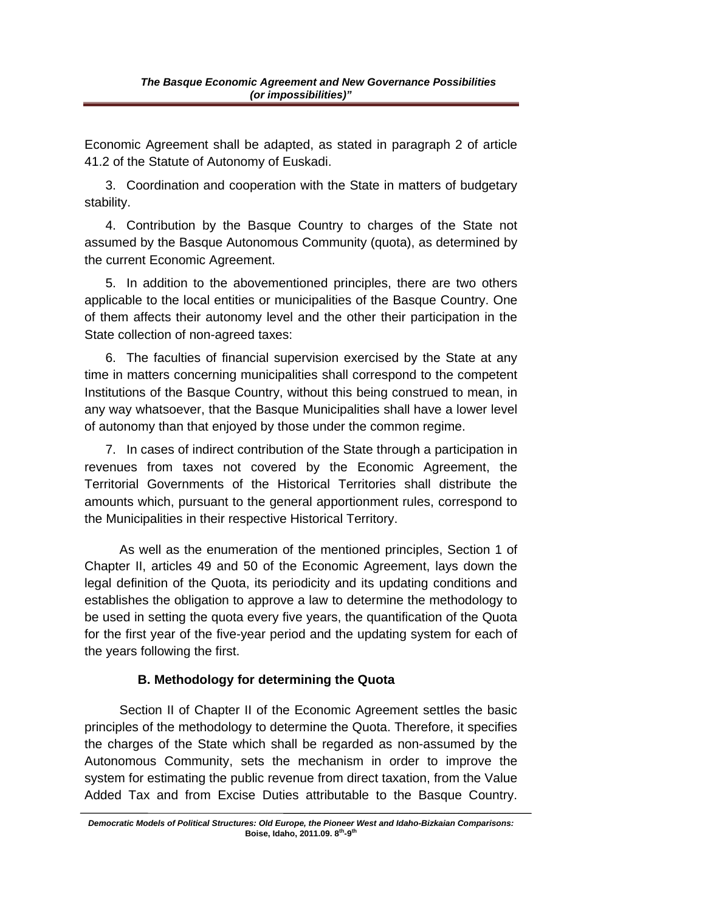Economic Agreement shall be adapted, as stated in paragraph 2 of article 41.2 of the Statute of Autonomy of Euskadi.

3. Coordination and cooperation with the State in matters of budgetary stability.

4. Contribution by the Basque Country to charges of the State not assumed by the Basque Autonomous Community (quota), as determined by the current Economic Agreement.

5. In addition to the abovementioned principles, there are two others applicable to the local entities or municipalities of the Basque Country. One of them affects their autonomy level and the other their participation in the State collection of non-agreed taxes:

6. The faculties of financial supervision exercised by the State at any time in matters concerning municipalities shall correspond to the competent Institutions of the Basque Country, without this being construed to mean, in any way whatsoever, that the Basque Municipalities shall have a lower level of autonomy than that enjoyed by those under the common regime.

7. In cases of indirect contribution of the State through a participation in revenues from taxes not covered by the Economic Agreement, the Territorial Governments of the Historical Territories shall distribute the amounts which, pursuant to the general apportionment rules, correspond to the Municipalities in their respective Historical Territory.

As well as the enumeration of the mentioned principles, Section 1 of Chapter II, articles 49 and 50 of the Economic Agreement, lays down the legal definition of the Quota, its periodicity and its updating conditions and establishes the obligation to approve a law to determine the methodology to be used in setting the quota every five years, the quantification of the Quota for the first year of the five-year period and the updating system for each of the years following the first.

# **B. Methodology for determining the Quota**

Section II of Chapter II of the Economic Agreement settles the basic principles of the methodology to determine the Quota. Therefore, it specifies the charges of the State which shall be regarded as non-assumed by the Autonomous Community, sets the mechanism in order to improve the system for estimating the public revenue from direct taxation, from the Value Added Tax and from Excise Duties attributable to the Basque Country.

*Democratic Models of Political Structures: Old Europe, the Pioneer West and Idaho-Bizkaian Comparisons:*  **Boise, Idaho, 2011.09. 8th-9th**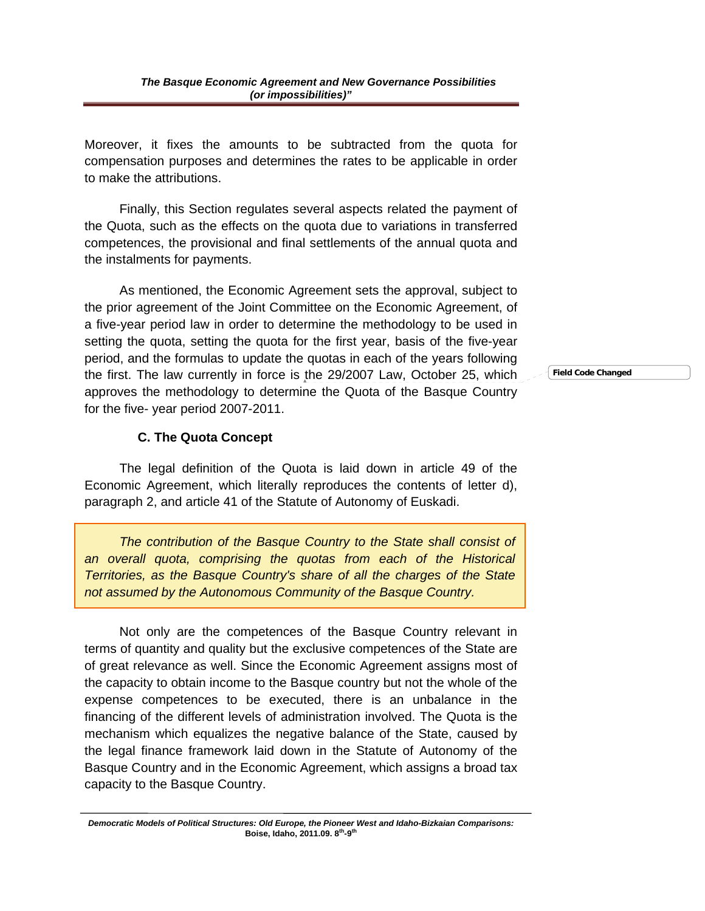Moreover, it fixes the amounts to be subtracted from the quota for compensation purposes and determines the rates to be applicable in order to make the attributions.

Finally, this Section regulates several aspects related the payment of the Quota, such as the effects on the quota due to variations in transferred competences, the provisional and final settlements of the annual quota and the instalments for payments.

As mentioned, the Economic Agreement sets the approval, subject to the prior agreement of the Joint Committee on the Economic Agreement, of a five-year period law in order to determine the methodology to be used in setting the quota, setting the quota for the first year, basis of the five-year period, and the formulas to update the quotas in each of the years following the first. The law currently in force is the 29/2007 Law, October 25, which approves the methodology to determine the Quota of the Basque Country for the five- year period 2007-2011.

## **C. The Quota Concept**

The legal definition of the Quota is laid down in article 49 of the Economic Agreement, which literally reproduces the contents of letter d), paragraph 2, and article 41 of the Statute of Autonomy of Euskadi.

*The contribution of the Basque Country to the State shall consist of*  an overall quota, comprising the quotas from each of the Historical *Territories, as the Basque Country's share of all the charges of the State not assumed by the Autonomous Community of the Basque Country.*

Not only are the competences of the Basque Country relevant in terms of quantity and quality but the exclusive competences of the State are of great relevance as well. Since the Economic Agreement assigns most of the capacity to obtain income to the Basque country but not the whole of the expense competences to be executed, there is an unbalance in the financing of the different levels of administration involved. The Quota is the mechanism which equalizes the negative balance of the State, caused by the legal finance framework laid down in the Statute of Autonomy of the Basque Country and in the Economic Agreement, which assigns a broad tax capacity to the Basque Country.

**Field Code Changed**

*Democratic Models of Political Structures: Old Europe, the Pioneer West and Idaho-Bizkaian Comparisons:*  **Boise, Idaho, 2011.09. 8th-9th**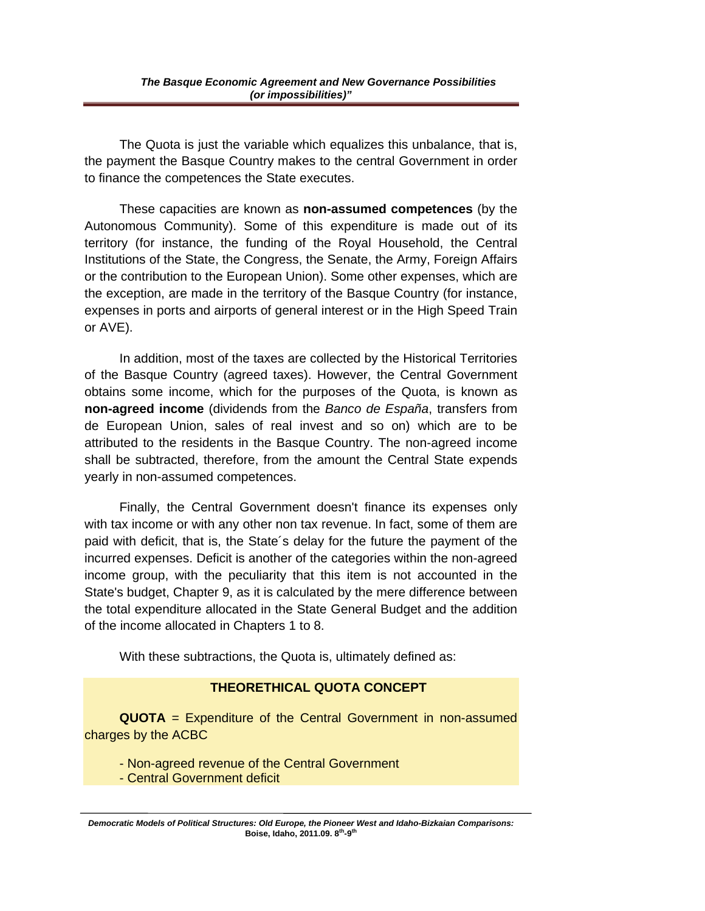The Quota is just the variable which equalizes this unbalance, that is, the payment the Basque Country makes to the central Government in order to finance the competences the State executes.

These capacities are known as **non-assumed competences** (by the Autonomous Community). Some of this expenditure is made out of its territory (for instance, the funding of the Royal Household, the Central Institutions of the State, the Congress, the Senate, the Army, Foreign Affairs or the contribution to the European Union). Some other expenses, which are the exception, are made in the territory of the Basque Country (for instance, expenses in ports and airports of general interest or in the High Speed Train or AVE).

In addition, most of the taxes are collected by the Historical Territories of the Basque Country (agreed taxes). However, the Central Government obtains some income, which for the purposes of the Quota, is known as **non-agreed income** (dividends from the *Banco de España*, transfers from de European Union, sales of real invest and so on) which are to be attributed to the residents in the Basque Country. The non-agreed income shall be subtracted, therefore, from the amount the Central State expends yearly in non-assumed competences.

Finally, the Central Government doesn't finance its expenses only with tax income or with any other non tax revenue. In fact, some of them are paid with deficit, that is, the State´s delay for the future the payment of the incurred expenses. Deficit is another of the categories within the non-agreed income group, with the peculiarity that this item is not accounted in the State's budget, Chapter 9, as it is calculated by the mere difference between the total expenditure allocated in the State General Budget and the addition of the income allocated in Chapters 1 to 8.

With these subtractions, the Quota is, ultimately defined as:

### **THEORETHICAL QUOTA CONCEPT**

**QUOTA** = Expenditure of the Central Government in non-assumed charges by the ACBC

- Non-agreed revenue of the Central Government
- Central Government deficit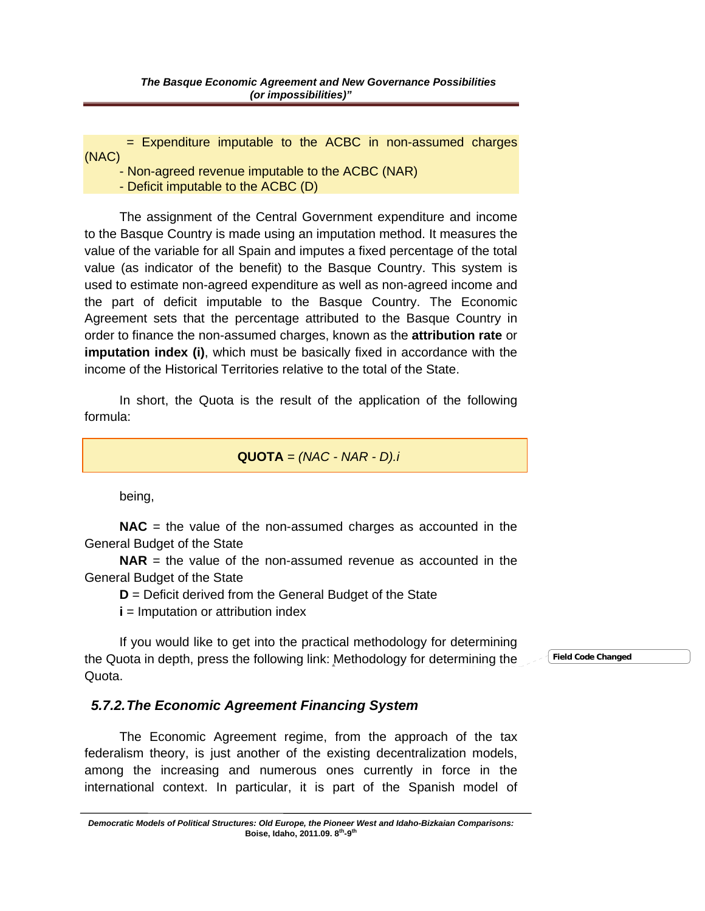= Expenditure imputable to the ACBC in non-assumed charges (NAC)

- Non-agreed revenue imputable to the ACBC (NAR)

- Deficit imputable to the ACBC (D)

The assignment of the Central Government expenditure and income to the Basque Country is made using an imputation method. It measures the value of the variable for all Spain and imputes a fixed percentage of the total value (as indicator of the benefit) to the Basque Country. This system is used to estimate non-agreed expenditure as well as non-agreed income and the part of deficit imputable to the Basque Country. The Economic Agreement sets that the percentage attributed to the Basque Country in order to finance the non-assumed charges, known as the **attribution rate** or **imputation index (i)**, which must be basically fixed in accordance with the income of the Historical Territories relative to the total of the State.

In short, the Quota is the result of the application of the following formula:

**QUOTA** *= (NAC - NAR - D).i*

being,

**NAC** = the value of the non-assumed charges as accounted in the General Budget of the State

**NAR** = the value of the non-assumed revenue as accounted in the General Budget of the State

**D** = Deficit derived from the General Budget of the State

**i** = Imputation or attribution index

If you would like to get into the practical methodology for determining the Quota in depth, press the following link: Methodology for determining the Quota.

**Field Code Changed**

#### *5.7.2. The Economic Agreement Financing System*

The Economic Agreement regime, from the approach of the tax federalism theory, is just another of the existing decentralization models, among the increasing and numerous ones currently in force in the international context. In particular, it is part of the Spanish model of

*Democratic Models of Political Structures: Old Europe, the Pioneer West and Idaho-Bizkaian Comparisons:*  **Boise, Idaho, 2011.09. 8th-9th**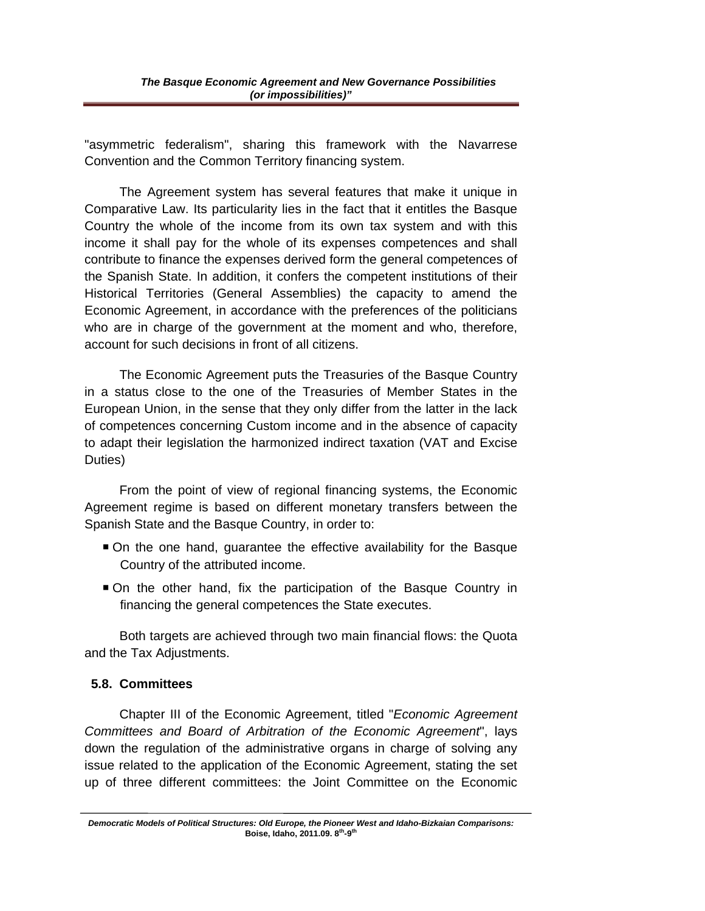"asymmetric federalism", sharing this framework with the Navarrese Convention and the Common Territory financing system.

The Agreement system has several features that make it unique in Comparative Law. Its particularity lies in the fact that it entitles the Basque Country the whole of the income from its own tax system and with this income it shall pay for the whole of its expenses competences and shall contribute to finance the expenses derived form the general competences of the Spanish State. In addition, it confers the competent institutions of their Historical Territories (General Assemblies) the capacity to amend the Economic Agreement, in accordance with the preferences of the politicians who are in charge of the government at the moment and who, therefore, account for such decisions in front of all citizens.

The Economic Agreement puts the Treasuries of the Basque Country in a status close to the one of the Treasuries of Member States in the European Union, in the sense that they only differ from the latter in the lack of competences concerning Custom income and in the absence of capacity to adapt their legislation the harmonized indirect taxation (VAT and Excise Duties)

From the point of view of regional financing systems, the Economic Agreement regime is based on different monetary transfers between the Spanish State and the Basque Country, in order to:

- On the one hand, guarantee the effective availability for the Basque Country of the attributed income.
- On the other hand, fix the participation of the Basque Country in financing the general competences the State executes.

Both targets are achieved through two main financial flows: the Quota and the Tax Adjustments.

## **5.8. Committees**

Chapter III of the Economic Agreement, titled "*Economic Agreement Committees and Board of Arbitration of the Economic Agreement*", lays down the regulation of the administrative organs in charge of solving any issue related to the application of the Economic Agreement, stating the set up of three different committees: the Joint Committee on the Economic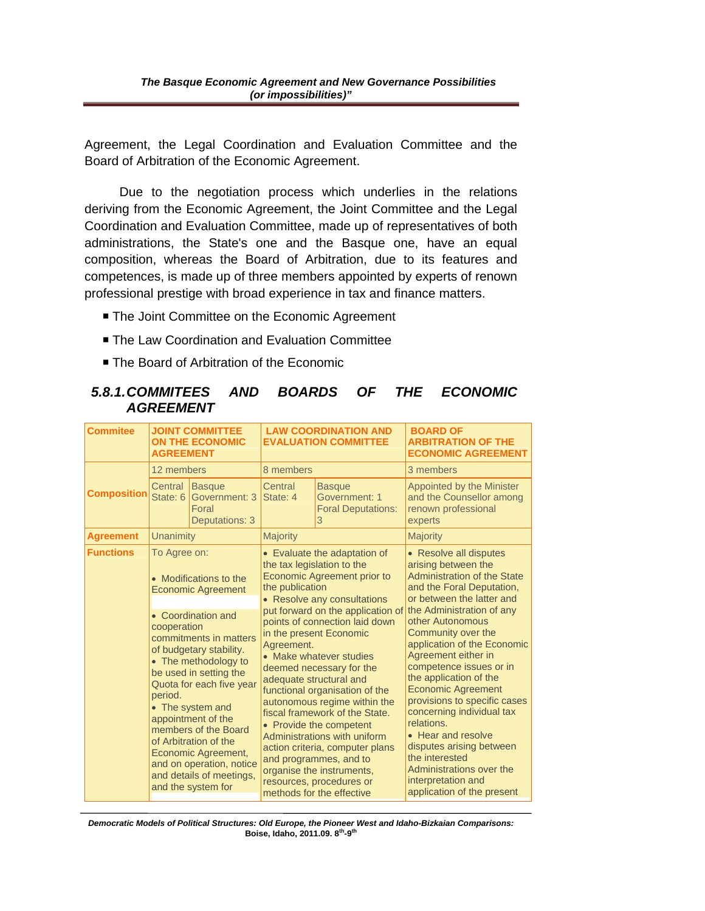Agreement, the Legal Coordination and Evaluation Committee and the Board of Arbitration of the Economic Agreement.

Due to the negotiation process which underlies in the relations deriving from the Economic Agreement, the Joint Committee and the Legal Coordination and Evaluation Committee, made up of representatives of both administrations, the State's one and the Basque one, have an equal composition, whereas the Board of Arbitration, due to its features and competences, is made up of three members appointed by experts of renown professional prestige with broad experience in tax and finance matters.

- The Joint Committee on the Economic Agreement
- The Law Coordination and Evaluation Committee
- The Board of Arbitration of the Economic

| <b>Commitee</b>    | <b>JOINT COMMITTEE</b><br><b>ON THE ECONOMIC</b><br><b>AGREEMENT</b>                                                                                                                                                                                                                                                                                                                                                                                   |                                                                  | <b>LAW COORDINATION AND</b><br><b>EVALUATION COMMITTEE</b>                                                                                                                                                                                                                                                                                                                                                                                                                                                                                                                                                                                                                                |                                                                  | <b>BOARD OF</b><br><b>ARBITRATION OF THE</b><br><b>ECONOMIC AGREEMENT</b>                                                                                                                                                                                                                                                                                                                                                                                                                                                                                      |
|--------------------|--------------------------------------------------------------------------------------------------------------------------------------------------------------------------------------------------------------------------------------------------------------------------------------------------------------------------------------------------------------------------------------------------------------------------------------------------------|------------------------------------------------------------------|-------------------------------------------------------------------------------------------------------------------------------------------------------------------------------------------------------------------------------------------------------------------------------------------------------------------------------------------------------------------------------------------------------------------------------------------------------------------------------------------------------------------------------------------------------------------------------------------------------------------------------------------------------------------------------------------|------------------------------------------------------------------|----------------------------------------------------------------------------------------------------------------------------------------------------------------------------------------------------------------------------------------------------------------------------------------------------------------------------------------------------------------------------------------------------------------------------------------------------------------------------------------------------------------------------------------------------------------|
|                    | 12 members                                                                                                                                                                                                                                                                                                                                                                                                                                             |                                                                  | 8 members                                                                                                                                                                                                                                                                                                                                                                                                                                                                                                                                                                                                                                                                                 |                                                                  | 3 members                                                                                                                                                                                                                                                                                                                                                                                                                                                                                                                                                      |
| <b>Composition</b> | Central<br>State: 6                                                                                                                                                                                                                                                                                                                                                                                                                                    | <b>Basque</b><br>Government: 3<br>Foral<br><b>Deputations: 3</b> | Central<br>State: 4                                                                                                                                                                                                                                                                                                                                                                                                                                                                                                                                                                                                                                                                       | <b>Basque</b><br>Government: 1<br><b>Foral Deputations:</b><br>3 | Appointed by the Minister<br>and the Counsellor among<br>renown professional<br>experts                                                                                                                                                                                                                                                                                                                                                                                                                                                                        |
| <b>Agreement</b>   | <b>Unanimity</b>                                                                                                                                                                                                                                                                                                                                                                                                                                       |                                                                  | Majority                                                                                                                                                                                                                                                                                                                                                                                                                                                                                                                                                                                                                                                                                  |                                                                  | Majority                                                                                                                                                                                                                                                                                                                                                                                                                                                                                                                                                       |
| <b>Functions</b>   | To Agree on:<br>• Modifications to the<br><b>Economic Agreement</b><br>• Coordination and<br>cooperation<br>commitments in matters<br>of budgetary stability.<br>• The methodology to<br>be used in setting the<br>Quota for each five year<br>period.<br>• The system and<br>appointment of the<br>members of the Board<br>of Arbitration of the<br>Economic Agreement,<br>and on operation, notice<br>and details of meetings,<br>and the system for |                                                                  | • Evaluate the adaptation of<br>the tax legislation to the<br>Economic Agreement prior to<br>the publication<br>• Resolve any consultations<br>put forward on the application of the Administration of any<br>points of connection laid down<br>in the present Economic<br>Agreement.<br>• Make whatever studies<br>deemed necessary for the<br>adequate structural and<br>functional organisation of the<br>autonomous regime within the<br>fiscal framework of the State.<br>• Provide the competent<br>Administrations with uniform<br>action criteria, computer plans<br>and programmes, and to<br>organise the instruments,<br>resources, procedures or<br>methods for the effective |                                                                  | • Resolve all disputes<br>arising between the<br><b>Administration of the State</b><br>and the Foral Deputation,<br>or between the latter and<br>other Autonomous<br>Community over the<br>application of the Economic<br>Agreement either in<br>competence issues or in<br>the application of the<br><b>Economic Agreement</b><br>provisions to specific cases<br>concerning individual tax<br>relations.<br>• Hear and resolve<br>disputes arising between<br>the interested<br>Administrations over the<br>interpretation and<br>application of the present |
|                    |                                                                                                                                                                                                                                                                                                                                                                                                                                                        |                                                                  |                                                                                                                                                                                                                                                                                                                                                                                                                                                                                                                                                                                                                                                                                           |                                                                  |                                                                                                                                                                                                                                                                                                                                                                                                                                                                                                                                                                |

# *5.8.1. COMMITEES AND BOARDS OF THE ECONOMIC AGREEMENT*

*Democratic Models of Political Structures: Old Europe, the Pioneer West and Idaho-Bizkaian Comparisons:*  **Boise, Idaho, 2011.09. 8th-9th**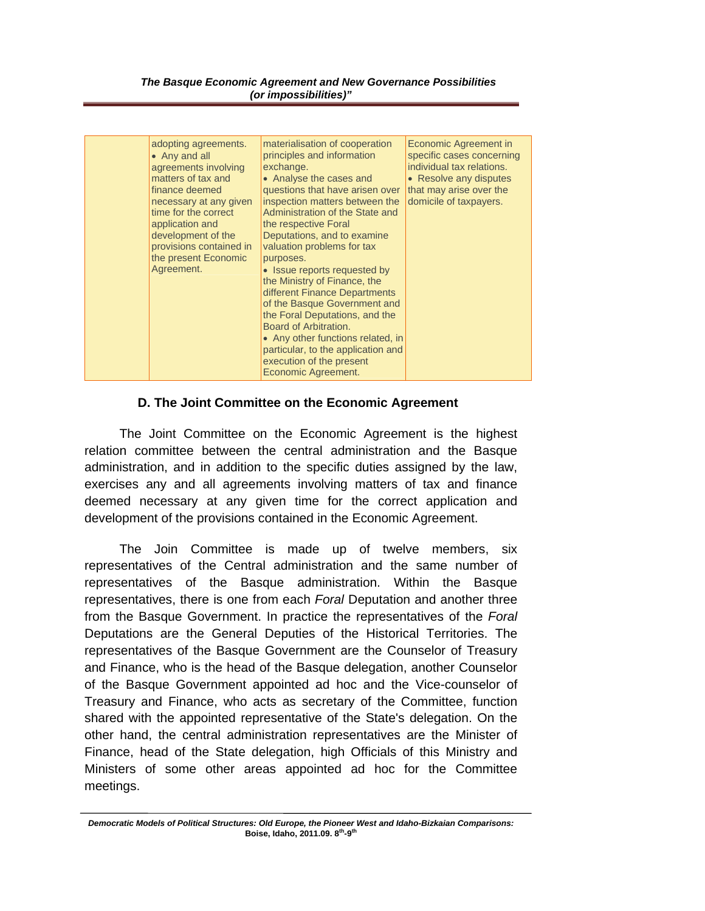| adopting agreements.<br>• Any and all<br>agreements involving<br>matters of tax and<br>finance deemed<br>necessary at any given<br>time for the correct<br>application and<br>development of the<br>provisions contained in<br>the present Economic<br>Agreement. | materialisation of cooperation<br>principles and information<br>exchange.<br>• Analyse the cases and<br>questions that have arisen over<br>inspection matters between the<br>Administration of the State and<br>the respective Foral<br>Deputations, and to examine<br>valuation problems for tax<br>purposes.<br>• Issue reports requested by<br>the Ministry of Finance, the<br>different Finance Departments<br>of the Basque Government and<br>the Foral Deputations, and the<br>Board of Arbitration.<br>• Any other functions related, in<br>particular, to the application and<br>execution of the present<br>Economic Agreement. | Economic Agreement in<br>specific cases concerning<br>individual tax relations.<br>• Resolve any disputes<br>that may arise over the<br>domicile of taxpayers. |
|-------------------------------------------------------------------------------------------------------------------------------------------------------------------------------------------------------------------------------------------------------------------|------------------------------------------------------------------------------------------------------------------------------------------------------------------------------------------------------------------------------------------------------------------------------------------------------------------------------------------------------------------------------------------------------------------------------------------------------------------------------------------------------------------------------------------------------------------------------------------------------------------------------------------|----------------------------------------------------------------------------------------------------------------------------------------------------------------|
|-------------------------------------------------------------------------------------------------------------------------------------------------------------------------------------------------------------------------------------------------------------------|------------------------------------------------------------------------------------------------------------------------------------------------------------------------------------------------------------------------------------------------------------------------------------------------------------------------------------------------------------------------------------------------------------------------------------------------------------------------------------------------------------------------------------------------------------------------------------------------------------------------------------------|----------------------------------------------------------------------------------------------------------------------------------------------------------------|

### **D. The Joint Committee on the Economic Agreement**

The Joint Committee on the Economic Agreement is the highest relation committee between the central administration and the Basque administration, and in addition to the specific duties assigned by the law, exercises any and all agreements involving matters of tax and finance deemed necessary at any given time for the correct application and development of the provisions contained in the Economic Agreement.

The Join Committee is made up of twelve members, six representatives of the Central administration and the same number of representatives of the Basque administration. Within the Basque representatives, there is one from each *Foral* Deputation and another three from the Basque Government. In practice the representatives of the *Foral* Deputations are the General Deputies of the Historical Territories. The representatives of the Basque Government are the Counselor of Treasury and Finance, who is the head of the Basque delegation, another Counselor of the Basque Government appointed ad hoc and the Vice-counselor of Treasury and Finance, who acts as secretary of the Committee, function shared with the appointed representative of the State's delegation. On the other hand, the central administration representatives are the Minister of Finance, head of the State delegation, high Officials of this Ministry and Ministers of some other areas appointed ad hoc for the Committee meetings.

*Democratic Models of Political Structures: Old Europe, the Pioneer West and Idaho-Bizkaian Comparisons:*  **Boise, Idaho, 2011.09. 8th-9th**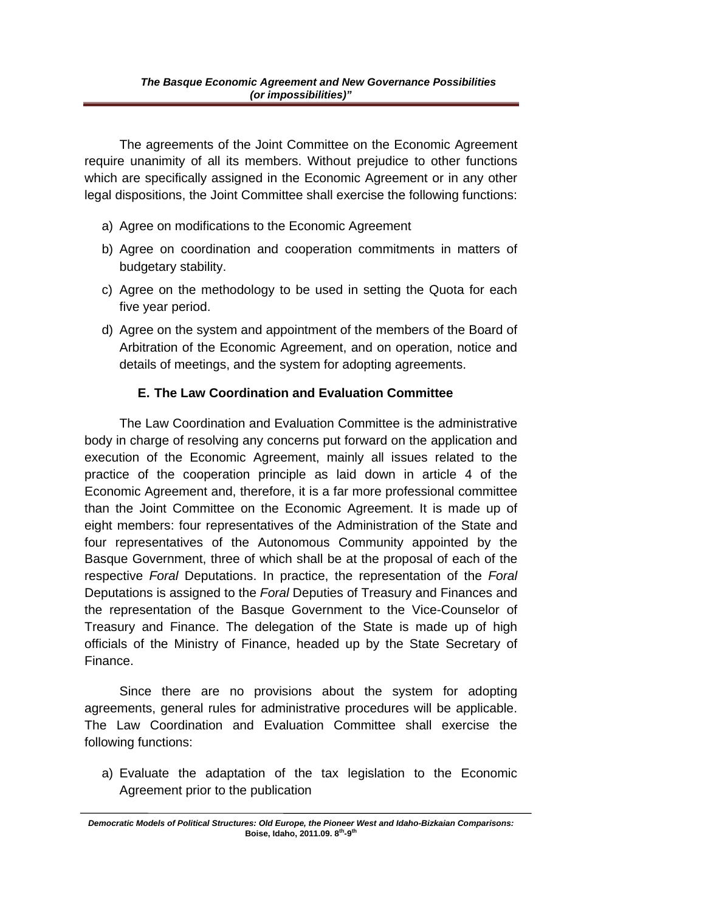The agreements of the Joint Committee on the Economic Agreement require unanimity of all its members. Without prejudice to other functions which are specifically assigned in the Economic Agreement or in any other legal dispositions, the Joint Committee shall exercise the following functions:

- a) Agree on modifications to the Economic Agreement
- b) Agree on coordination and cooperation commitments in matters of budgetary stability.
- c) Agree on the methodology to be used in setting the Quota for each five year period.
- d) Agree on the system and appointment of the members of the Board of Arbitration of the Economic Agreement, and on operation, notice and details of meetings, and the system for adopting agreements.

## **E. The Law Coordination and Evaluation Committee**

The Law Coordination and Evaluation Committee is the administrative body in charge of resolving any concerns put forward on the application and execution of the Economic Agreement, mainly all issues related to the practice of the cooperation principle as laid down in article 4 of the Economic Agreement and, therefore, it is a far more professional committee than the Joint Committee on the Economic Agreement. It is made up of eight members: four representatives of the Administration of the State and four representatives of the Autonomous Community appointed by the Basque Government, three of which shall be at the proposal of each of the respective *Foral* Deputations. In practice, the representation of the *Foral* Deputations is assigned to the *Foral* Deputies of Treasury and Finances and the representation of the Basque Government to the Vice-Counselor of Treasury and Finance. The delegation of the State is made up of high officials of the Ministry of Finance, headed up by the State Secretary of Finance.

Since there are no provisions about the system for adopting agreements, general rules for administrative procedures will be applicable. The Law Coordination and Evaluation Committee shall exercise the following functions:

a) Evaluate the adaptation of the tax legislation to the Economic Agreement prior to the publication

*Democratic Models of Political Structures: Old Europe, the Pioneer West and Idaho-Bizkaian Comparisons:*  **Boise, Idaho, 2011.09. 8th-9th**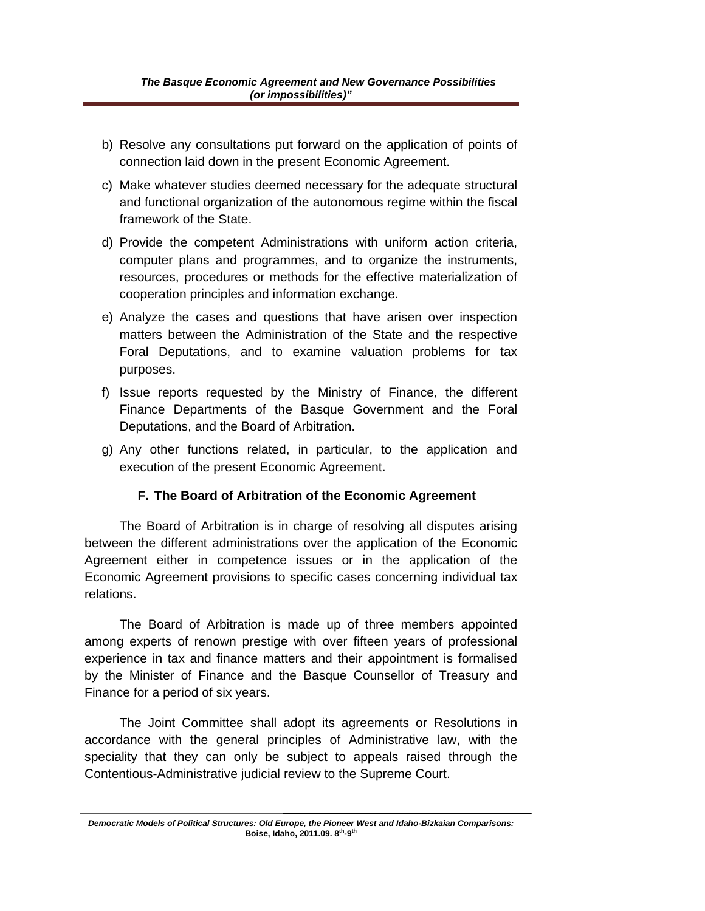- b) Resolve any consultations put forward on the application of points of connection laid down in the present Economic Agreement.
- c) Make whatever studies deemed necessary for the adequate structural and functional organization of the autonomous regime within the fiscal framework of the State.
- d) Provide the competent Administrations with uniform action criteria, computer plans and programmes, and to organize the instruments, resources, procedures or methods for the effective materialization of cooperation principles and information exchange.
- e) Analyze the cases and questions that have arisen over inspection matters between the Administration of the State and the respective Foral Deputations, and to examine valuation problems for tax purposes.
- f) Issue reports requested by the Ministry of Finance, the different Finance Departments of the Basque Government and the Foral Deputations, and the Board of Arbitration.
- g) Any other functions related, in particular, to the application and execution of the present Economic Agreement.

## **F. The Board of Arbitration of the Economic Agreement**

The Board of Arbitration is in charge of resolving all disputes arising between the different administrations over the application of the Economic Agreement either in competence issues or in the application of the Economic Agreement provisions to specific cases concerning individual tax relations.

The Board of Arbitration is made up of three members appointed among experts of renown prestige with over fifteen years of professional experience in tax and finance matters and their appointment is formalised by the Minister of Finance and the Basque Counsellor of Treasury and Finance for a period of six years.

The Joint Committee shall adopt its agreements or Resolutions in accordance with the general principles of Administrative law, with the speciality that they can only be subject to appeals raised through the Contentious-Administrative judicial review to the Supreme Court.

*Democratic Models of Political Structures: Old Europe, the Pioneer West and Idaho-Bizkaian Comparisons:*  **Boise, Idaho, 2011.09. 8th-9th**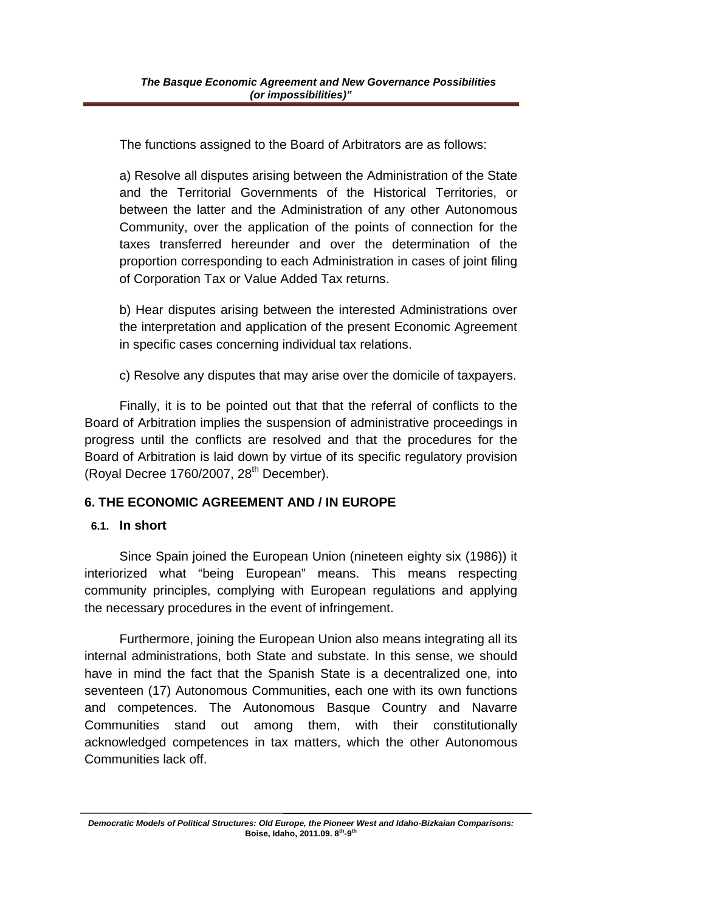The functions assigned to the Board of Arbitrators are as follows:

a) Resolve all disputes arising between the Administration of the State and the Territorial Governments of the Historical Territories, or between the latter and the Administration of any other Autonomous Community, over the application of the points of connection for the taxes transferred hereunder and over the determination of the proportion corresponding to each Administration in cases of joint filing of Corporation Tax or Value Added Tax returns.

b) Hear disputes arising between the interested Administrations over the interpretation and application of the present Economic Agreement in specific cases concerning individual tax relations.

c) Resolve any disputes that may arise over the domicile of taxpayers.

Finally, it is to be pointed out that that the referral of conflicts to the Board of Arbitration implies the suspension of administrative proceedings in progress until the conflicts are resolved and that the procedures for the Board of Arbitration is laid down by virtue of its specific regulatory provision (Royal Decree 1760/2007,  $28<sup>th</sup>$  December).

## **6. THE ECONOMIC AGREEMENT AND / IN EUROPE**

## **6.1. In short**

Since Spain joined the European Union (nineteen eighty six (1986)) it interiorized what "being European" means. This means respecting community principles, complying with European regulations and applying the necessary procedures in the event of infringement.

Furthermore, joining the European Union also means integrating all its internal administrations, both State and substate. In this sense, we should have in mind the fact that the Spanish State is a decentralized one, into seventeen (17) Autonomous Communities, each one with its own functions and competences. The Autonomous Basque Country and Navarre Communities stand out among them, with their constitutionally acknowledged competences in tax matters, which the other Autonomous Communities lack off.

*Democratic Models of Political Structures: Old Europe, the Pioneer West and Idaho-Bizkaian Comparisons:*  **Boise, Idaho, 2011.09. 8th-9th**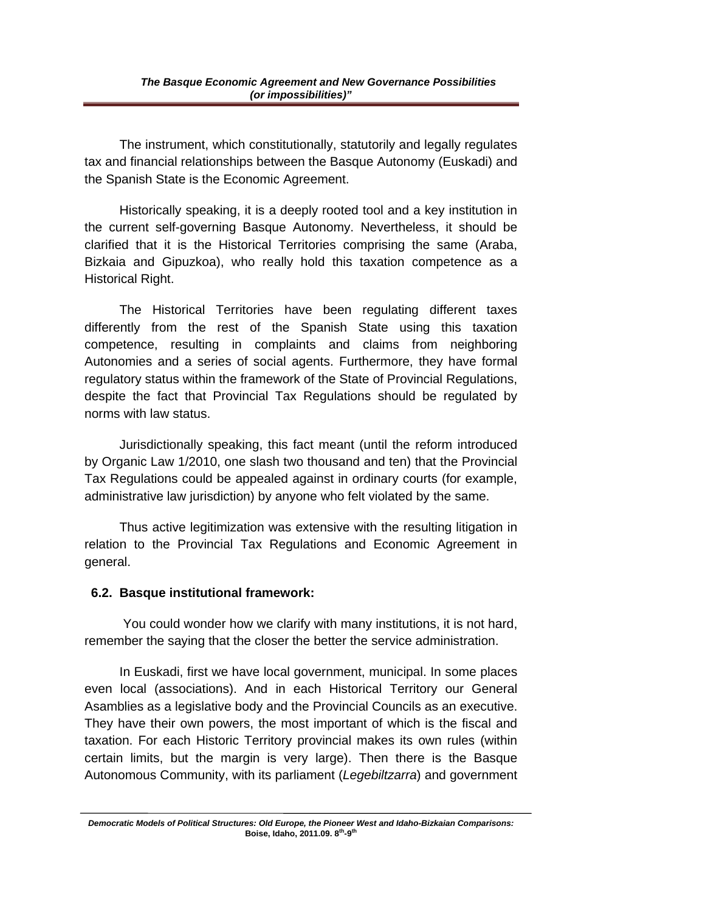The instrument, which constitutionally, statutorily and legally regulates tax and financial relationships between the Basque Autonomy (Euskadi) and the Spanish State is the Economic Agreement.

Historically speaking, it is a deeply rooted tool and a key institution in the current self-governing Basque Autonomy. Nevertheless, it should be clarified that it is the Historical Territories comprising the same (Araba, Bizkaia and Gipuzkoa), who really hold this taxation competence as a Historical Right.

The Historical Territories have been regulating different taxes differently from the rest of the Spanish State using this taxation competence, resulting in complaints and claims from neighboring Autonomies and a series of social agents. Furthermore, they have formal regulatory status within the framework of the State of Provincial Regulations, despite the fact that Provincial Tax Regulations should be regulated by norms with law status.

Jurisdictionally speaking, this fact meant (until the reform introduced by Organic Law 1/2010, one slash two thousand and ten) that the Provincial Tax Regulations could be appealed against in ordinary courts (for example, administrative law jurisdiction) by anyone who felt violated by the same.

Thus active legitimization was extensive with the resulting litigation in relation to the Provincial Tax Regulations and Economic Agreement in general.

## **6.2. Basque institutional framework:**

 You could wonder how we clarify with many institutions, it is not hard, remember the saying that the closer the better the service administration.

In Euskadi, first we have local government, municipal. In some places even local (associations). And in each Historical Territory our General Asamblies as a legislative body and the Provincial Councils as an executive. They have their own powers, the most important of which is the fiscal and taxation. For each Historic Territory provincial makes its own rules (within certain limits, but the margin is very large). Then there is the Basque Autonomous Community, with its parliament (*Legebiltzarra*) and government

*Democratic Models of Political Structures: Old Europe, the Pioneer West and Idaho-Bizkaian Comparisons:*  **Boise, Idaho, 2011.09. 8th-9th**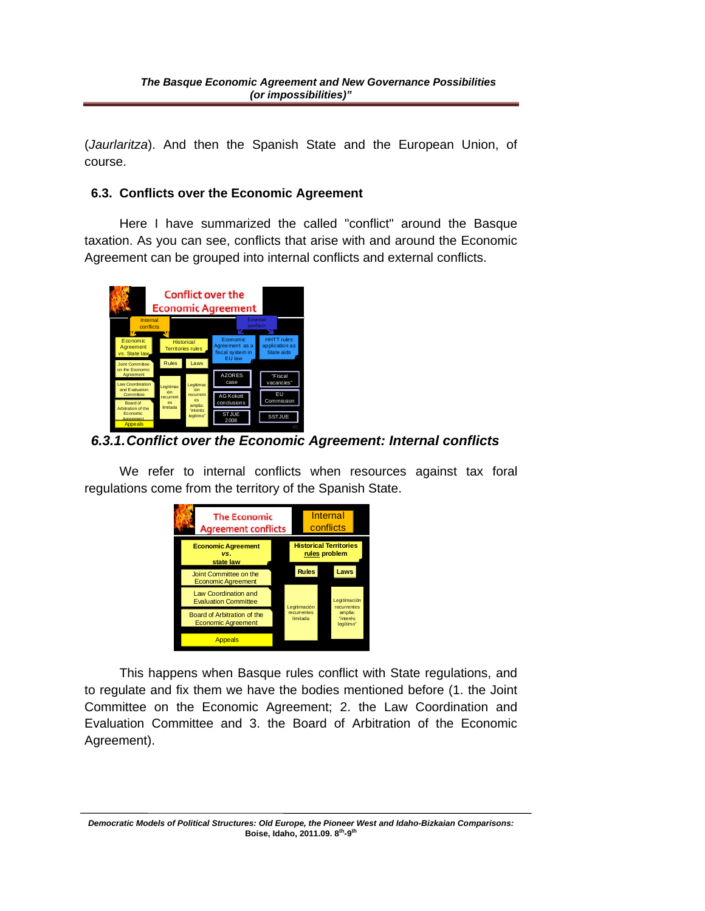(*Jaurlaritza*). And then the Spanish State and the European Union, of course.

### **6.3. Conflicts over the Economic Agreement**

Here I have summarized the called "conflict" around the Basque taxation. As you can see, conflicts that arise with and around the Economic Agreement can be grouped into internal conflicts and external conflicts.



*6.3.1. Conflict over the Economic Agreement: Internal conflicts* 

We refer to internal conflicts when resources against tax foral regulations come from the territory of the Spanish State.



This happens when Basque rules conflict with State regulations, and to regulate and fix them we have the bodies mentioned before (1. the Joint Committee on the Economic Agreement; 2. the Law Coordination and Evaluation Committee and 3. the Board of Arbitration of the Economic Agreement).

*Democratic Models of Political Structures: Old Europe, the Pioneer West and Idaho-Bizkaian Comparisons:*  **Boise, Idaho, 2011.09. 8th-9th**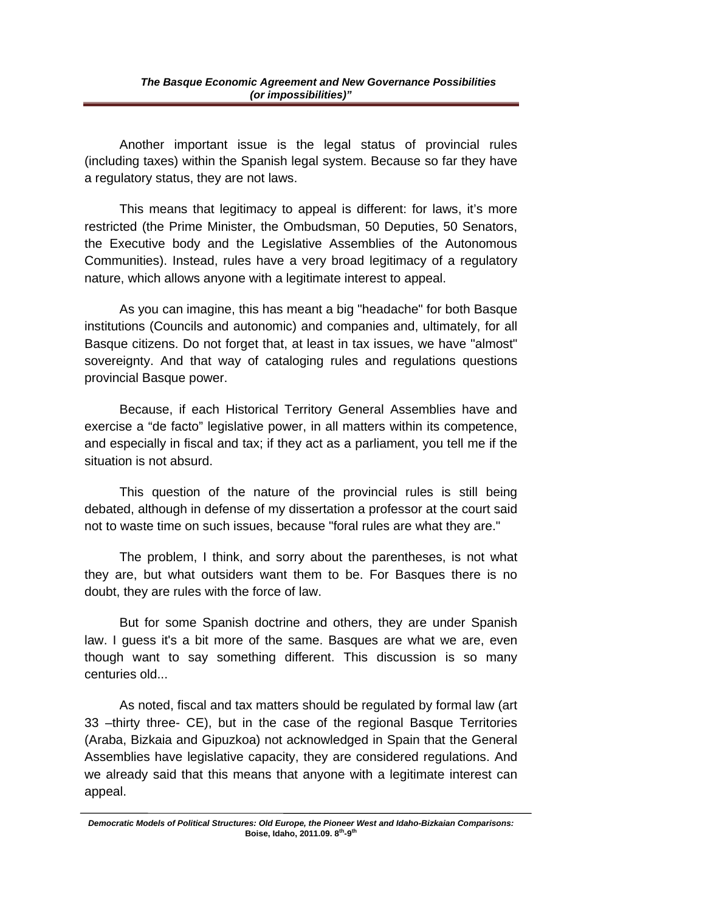Another important issue is the legal status of provincial rules (including taxes) within the Spanish legal system. Because so far they have a regulatory status, they are not laws.

This means that legitimacy to appeal is different: for laws, it's more restricted (the Prime Minister, the Ombudsman, 50 Deputies, 50 Senators, the Executive body and the Legislative Assemblies of the Autonomous Communities). Instead, rules have a very broad legitimacy of a regulatory nature, which allows anyone with a legitimate interest to appeal.

As you can imagine, this has meant a big "headache" for both Basque institutions (Councils and autonomic) and companies and, ultimately, for all Basque citizens. Do not forget that, at least in tax issues, we have "almost" sovereignty. And that way of cataloging rules and regulations questions provincial Basque power.

Because, if each Historical Territory General Assemblies have and exercise a "de facto" legislative power, in all matters within its competence, and especially in fiscal and tax; if they act as a parliament, you tell me if the situation is not absurd.

This question of the nature of the provincial rules is still being debated, although in defense of my dissertation a professor at the court said not to waste time on such issues, because "foral rules are what they are."

The problem, I think, and sorry about the parentheses, is not what they are, but what outsiders want them to be. For Basques there is no doubt, they are rules with the force of law.

But for some Spanish doctrine and others, they are under Spanish law. I guess it's a bit more of the same. Basques are what we are, even though want to say something different. This discussion is so many centuries old...

As noted, fiscal and tax matters should be regulated by formal law (art 33 –thirty three- CE), but in the case of the regional Basque Territories (Araba, Bizkaia and Gipuzkoa) not acknowledged in Spain that the General Assemblies have legislative capacity, they are considered regulations. And we already said that this means that anyone with a legitimate interest can appeal.

*Democratic Models of Political Structures: Old Europe, the Pioneer West and Idaho-Bizkaian Comparisons:*  **Boise, Idaho, 2011.09. 8th-9th**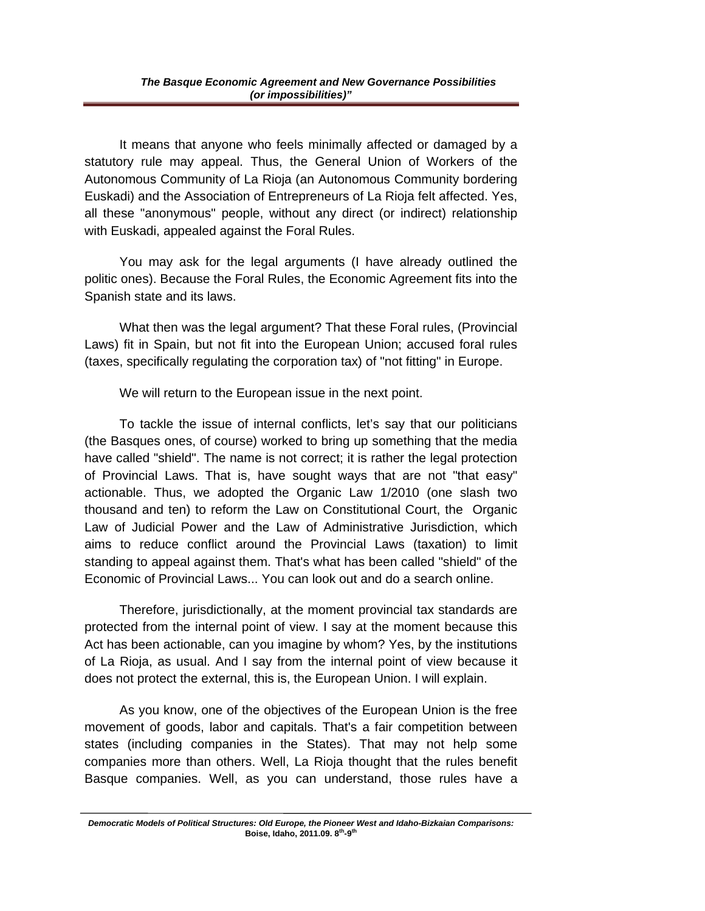It means that anyone who feels minimally affected or damaged by a statutory rule may appeal. Thus, the General Union of Workers of the Autonomous Community of La Rioja (an Autonomous Community bordering Euskadi) and the Association of Entrepreneurs of La Rioja felt affected. Yes, all these "anonymous" people, without any direct (or indirect) relationship with Euskadi, appealed against the Foral Rules.

You may ask for the legal arguments (I have already outlined the politic ones). Because the Foral Rules, the Economic Agreement fits into the Spanish state and its laws.

What then was the legal argument? That these Foral rules, (Provincial Laws) fit in Spain, but not fit into the European Union; accused foral rules (taxes, specifically regulating the corporation tax) of "not fitting" in Europe.

We will return to the European issue in the next point.

To tackle the issue of internal conflicts, let's say that our politicians (the Basques ones, of course) worked to bring up something that the media have called "shield". The name is not correct; it is rather the legal protection of Provincial Laws. That is, have sought ways that are not "that easy" actionable. Thus, we adopted the Organic Law 1/2010 (one slash two thousand and ten) to reform the Law on Constitutional Court, the Organic Law of Judicial Power and the Law of Administrative Jurisdiction, which aims to reduce conflict around the Provincial Laws (taxation) to limit standing to appeal against them. That's what has been called "shield" of the Economic of Provincial Laws... You can look out and do a search online.

Therefore, jurisdictionally, at the moment provincial tax standards are protected from the internal point of view. I say at the moment because this Act has been actionable, can you imagine by whom? Yes, by the institutions of La Rioja, as usual. And I say from the internal point of view because it does not protect the external, this is, the European Union. I will explain.

As you know, one of the objectives of the European Union is the free movement of goods, labor and capitals. That's a fair competition between states (including companies in the States). That may not help some companies more than others. Well, La Rioja thought that the rules benefit Basque companies. Well, as you can understand, those rules have a

*Democratic Models of Political Structures: Old Europe, the Pioneer West and Idaho-Bizkaian Comparisons:*  **Boise, Idaho, 2011.09. 8th-9th**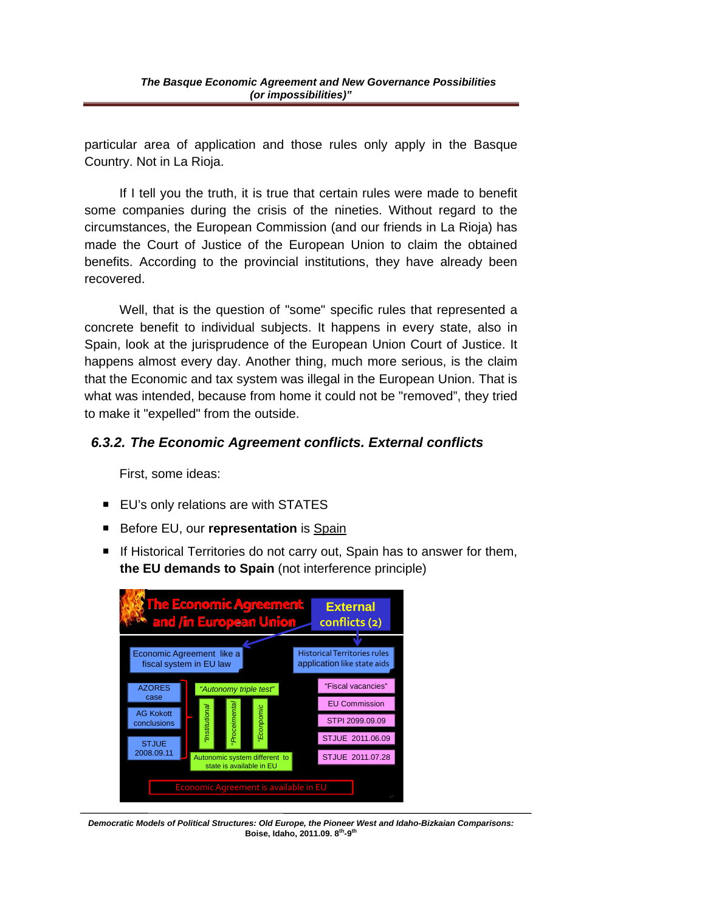particular area of application and those rules only apply in the Basque Country. Not in La Rioja.

If I tell you the truth, it is true that certain rules were made to benefit some companies during the crisis of the nineties. Without regard to the circumstances, the European Commission (and our friends in La Rioja) has made the Court of Justice of the European Union to claim the obtained benefits. According to the provincial institutions, they have already been recovered.

Well, that is the question of "some" specific rules that represented a concrete benefit to individual subjects. It happens in every state, also in Spain, look at the jurisprudence of the European Union Court of Justice. It happens almost every day. Another thing, much more serious, is the claim that the Economic and tax system was illegal in the European Union. That is what was intended, because from home it could not be "removed", they tried to make it "expelled" from the outside.

# *6.3.2. The Economic Agreement conflicts. External conflicts*

First, some ideas:

- **EU's only relations are with STATES**
- **Before EU, our representation** is Spain
- If Historical Territories do not carry out, Spain has to answer for them, **the EU demands to Spain** (not interference principle)



*Democratic Models of Political Structures: Old Europe, the Pioneer West and Idaho-Bizkaian Comparisons:*  **Boise, Idaho, 2011.09. 8th-9th**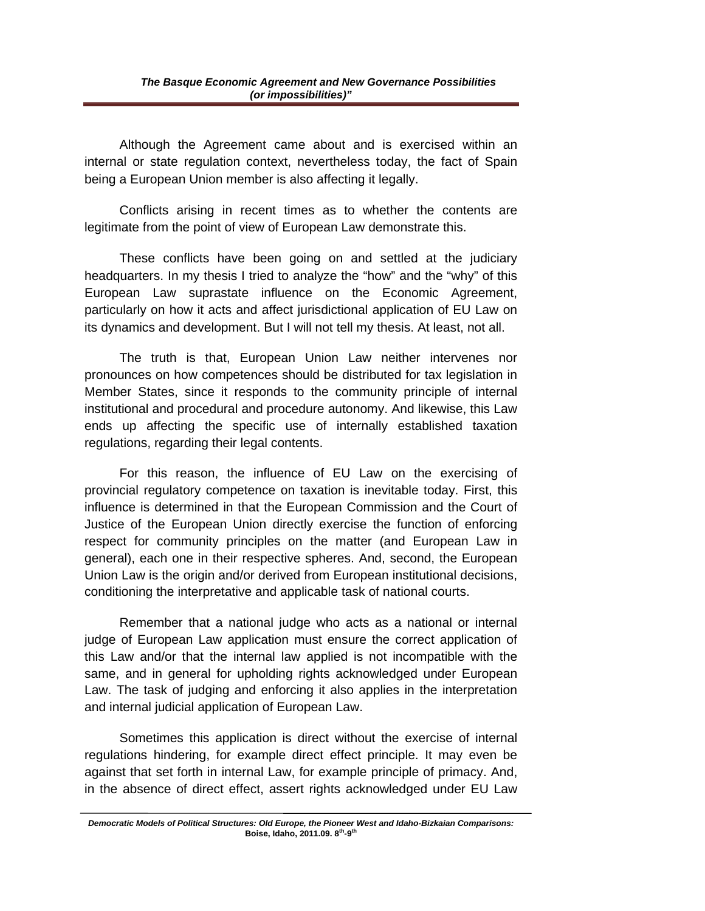Although the Agreement came about and is exercised within an internal or state regulation context, nevertheless today, the fact of Spain being a European Union member is also affecting it legally.

Conflicts arising in recent times as to whether the contents are legitimate from the point of view of European Law demonstrate this.

These conflicts have been going on and settled at the judiciary headquarters. In my thesis I tried to analyze the "how" and the "why" of this European Law suprastate influence on the Economic Agreement, particularly on how it acts and affect jurisdictional application of EU Law on its dynamics and development. But I will not tell my thesis. At least, not all.

The truth is that, European Union Law neither intervenes nor pronounces on how competences should be distributed for tax legislation in Member States, since it responds to the community principle of internal institutional and procedural and procedure autonomy. And likewise, this Law ends up affecting the specific use of internally established taxation regulations, regarding their legal contents.

For this reason, the influence of EU Law on the exercising of provincial regulatory competence on taxation is inevitable today. First, this influence is determined in that the European Commission and the Court of Justice of the European Union directly exercise the function of enforcing respect for community principles on the matter (and European Law in general), each one in their respective spheres. And, second, the European Union Law is the origin and/or derived from European institutional decisions, conditioning the interpretative and applicable task of national courts.

Remember that a national judge who acts as a national or internal judge of European Law application must ensure the correct application of this Law and/or that the internal law applied is not incompatible with the same, and in general for upholding rights acknowledged under European Law. The task of judging and enforcing it also applies in the interpretation and internal judicial application of European Law.

Sometimes this application is direct without the exercise of internal regulations hindering, for example direct effect principle. It may even be against that set forth in internal Law, for example principle of primacy. And, in the absence of direct effect, assert rights acknowledged under EU Law

*Democratic Models of Political Structures: Old Europe, the Pioneer West and Idaho-Bizkaian Comparisons:*  **Boise, Idaho, 2011.09. 8th-9th**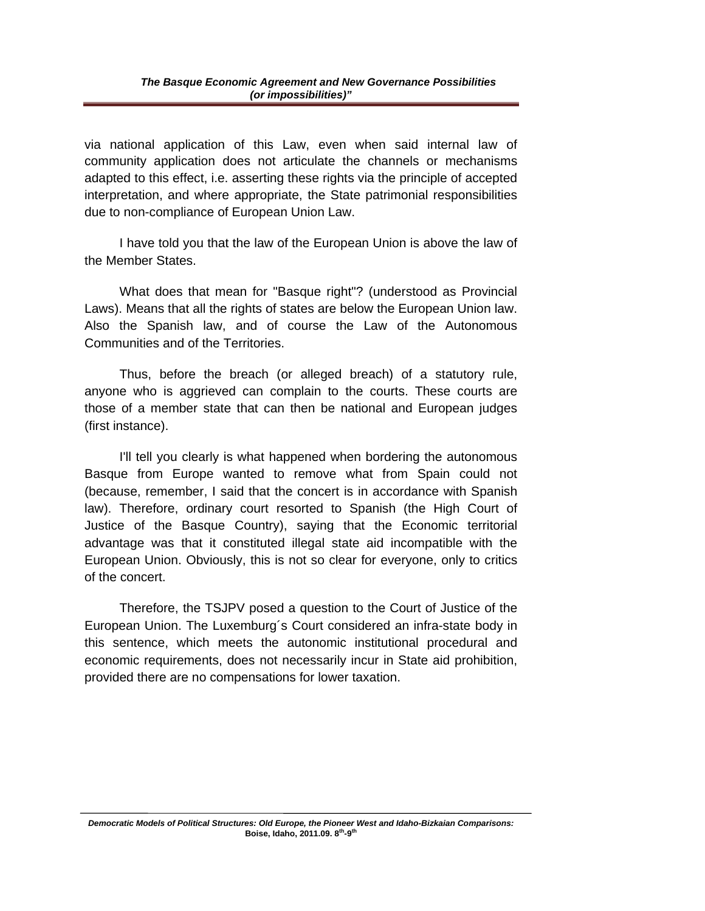via national application of this Law, even when said internal law of community application does not articulate the channels or mechanisms adapted to this effect, i.e. asserting these rights via the principle of accepted interpretation, and where appropriate, the State patrimonial responsibilities due to non-compliance of European Union Law.

I have told you that the law of the European Union is above the law of the Member States.

What does that mean for "Basque right"? (understood as Provincial Laws). Means that all the rights of states are below the European Union law. Also the Spanish law, and of course the Law of the Autonomous Communities and of the Territories.

Thus, before the breach (or alleged breach) of a statutory rule, anyone who is aggrieved can complain to the courts. These courts are those of a member state that can then be national and European judges (first instance).

I'll tell you clearly is what happened when bordering the autonomous Basque from Europe wanted to remove what from Spain could not (because, remember, I said that the concert is in accordance with Spanish law). Therefore, ordinary court resorted to Spanish (the High Court of Justice of the Basque Country), saying that the Economic territorial advantage was that it constituted illegal state aid incompatible with the European Union. Obviously, this is not so clear for everyone, only to critics of the concert.

Therefore, the TSJPV posed a question to the Court of Justice of the European Union. The Luxemburg´s Court considered an infra-state body in this sentence, which meets the autonomic institutional procedural and economic requirements, does not necessarily incur in State aid prohibition, provided there are no compensations for lower taxation.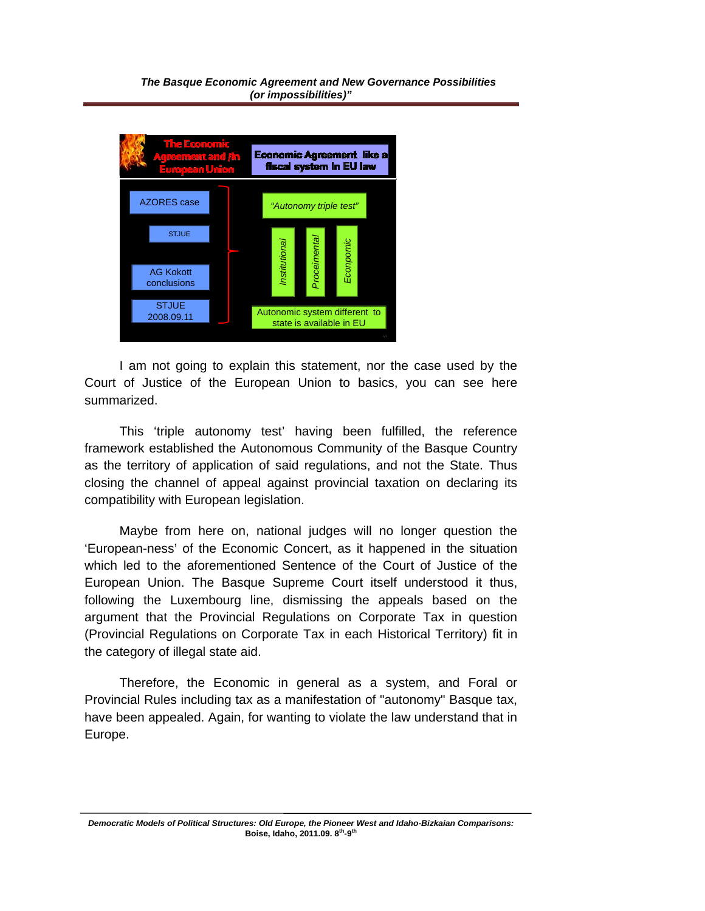

I am not going to explain this statement, nor the case used by the Court of Justice of the European Union to basics, you can see here summarized.

This 'triple autonomy test' having been fulfilled, the reference framework established the Autonomous Community of the Basque Country as the territory of application of said regulations, and not the State. Thus closing the channel of appeal against provincial taxation on declaring its compatibility with European legislation.

Maybe from here on, national judges will no longer question the 'European-ness' of the Economic Concert, as it happened in the situation which led to the aforementioned Sentence of the Court of Justice of the European Union. The Basque Supreme Court itself understood it thus, following the Luxembourg line, dismissing the appeals based on the argument that the Provincial Regulations on Corporate Tax in question (Provincial Regulations on Corporate Tax in each Historical Territory) fit in the category of illegal state aid.

Therefore, the Economic in general as a system, and Foral or Provincial Rules including tax as a manifestation of "autonomy" Basque tax, have been appealed. Again, for wanting to violate the law understand that in Europe.

*Democratic Models of Political Structures: Old Europe, the Pioneer West and Idaho-Bizkaian Comparisons:*  **Boise, Idaho, 2011.09. 8th-9th**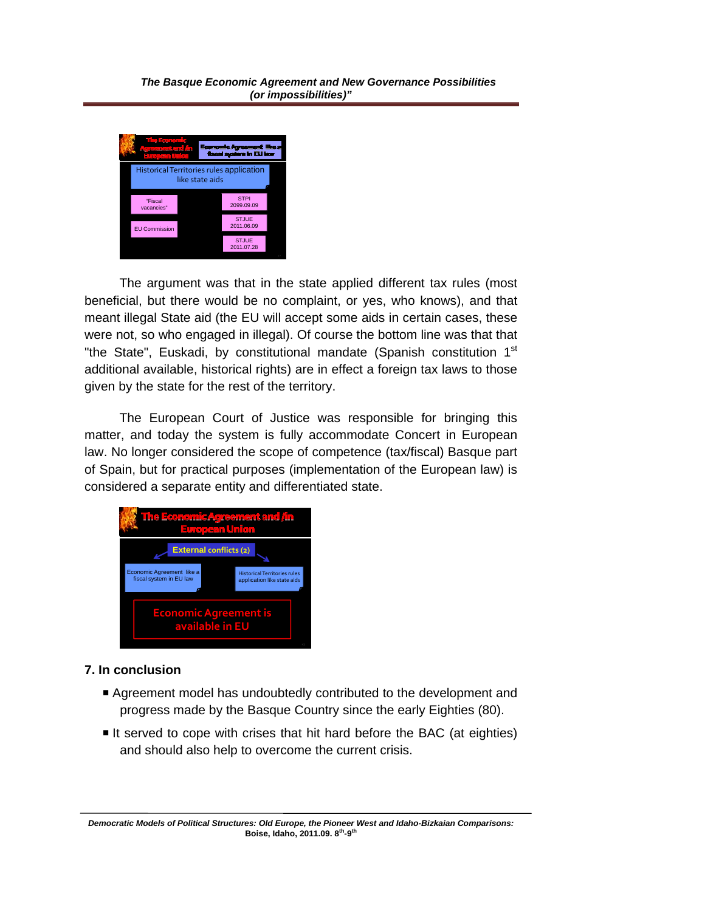

The argument was that in the state applied different tax rules (most beneficial, but there would be no complaint, or yes, who knows), and that meant illegal State aid (the EU will accept some aids in certain cases, these were not, so who engaged in illegal). Of course the bottom line was that that "the State", Euskadi, by constitutional mandate (Spanish constitution 1<sup>st</sup> additional available, historical rights) are in effect a foreign tax laws to those given by the state for the rest of the territory.

The European Court of Justice was responsible for bringing this matter, and today the system is fully accommodate Concert in European law. No longer considered the scope of competence (tax/fiscal) Basque part of Spain, but for practical purposes (implementation of the European law) is considered a separate entity and differentiated state.



### **7. In conclusion**

- Agreement model has undoubtedly contributed to the development and progress made by the Basque Country since the early Eighties (80).
- If served to cope with crises that hit hard before the BAC (at eighties) and should also help to overcome the current crisis.

*Democratic Models of Political Structures: Old Europe, the Pioneer West and Idaho-Bizkaian Comparisons:*  **Boise, Idaho, 2011.09. 8th-9th**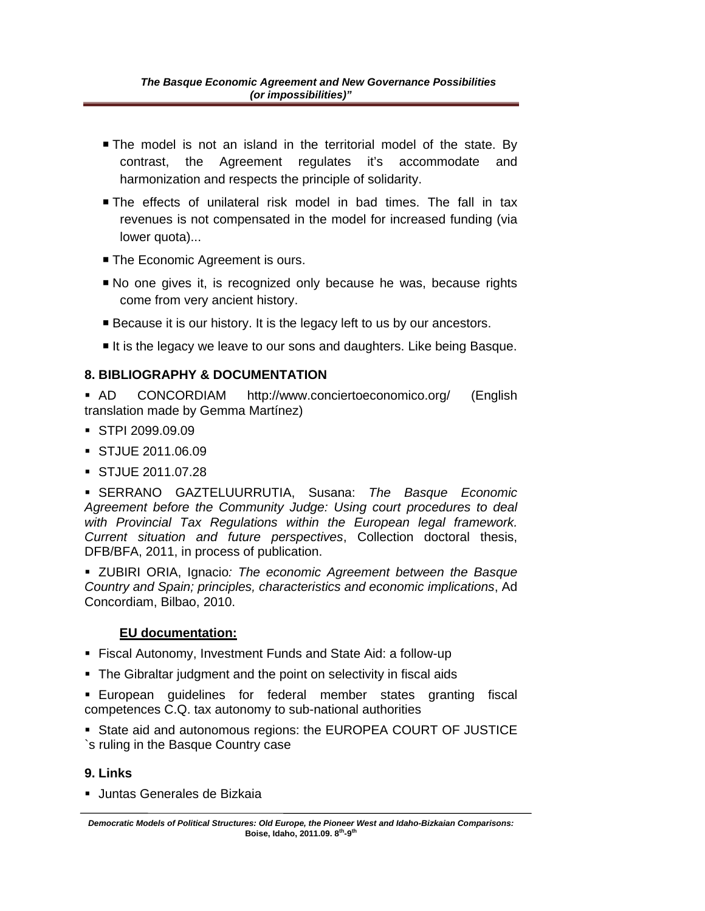- The model is not an island in the territorial model of the state. By contrast, the Agreement regulates it's accommodate and harmonization and respects the principle of solidarity.
- The effects of unilateral risk model in bad times. The fall in tax revenues is not compensated in the model for increased funding (via lower quota)...
- The Economic Agreement is ours.
- No one gives it, is recognized only because he was, because rights come from very ancient history.
- Because it is our history. It is the legacy left to us by our ancestors.
- It is the legacy we leave to our sons and daughters. Like being Basque.

## **8. BIBLIOGRAPHY & DOCUMENTATION**

 AD CONCORDIAM http://www.conciertoeconomico.org/ (English translation made by Gemma Martínez)

- STPI 2099.09.09
- STJUE 2011.06.09
- STJUE 2011.07.28

 SERRANO GAZTELUURRUTIA, Susana: *The Basque Economic Agreement before the Community Judge: Using court procedures to deal with Provincial Tax Regulations within the European legal framework. Current situation and future perspectives*, Collection doctoral thesis, DFB/BFA, 2011, in process of publication.

 ZUBIRI ORIA, Ignacio*: The economic Agreement between the Basque Country and Spain; principles, characteristics and economic implications*, Ad Concordiam, Bilbao, 2010.

### **EU documentation:**

- Fiscal Autonomy, Investment Funds and State Aid: a follow-up
- The Gibraltar judgment and the point on selectivity in fiscal aids
- **European quidelines for federal member states granting fiscal** competences C.Q. tax autonomy to sub-national authorities
- **State aid and autonomous regions: the EUROPEA COURT OF JUSTICE** `s ruling in the Basque Country case

### **9. Links**

Juntas Generales de Bizkaia

*Democratic Models of Political Structures: Old Europe, the Pioneer West and Idaho-Bizkaian Comparisons:*  **Boise, Idaho, 2011.09. 8th-9th**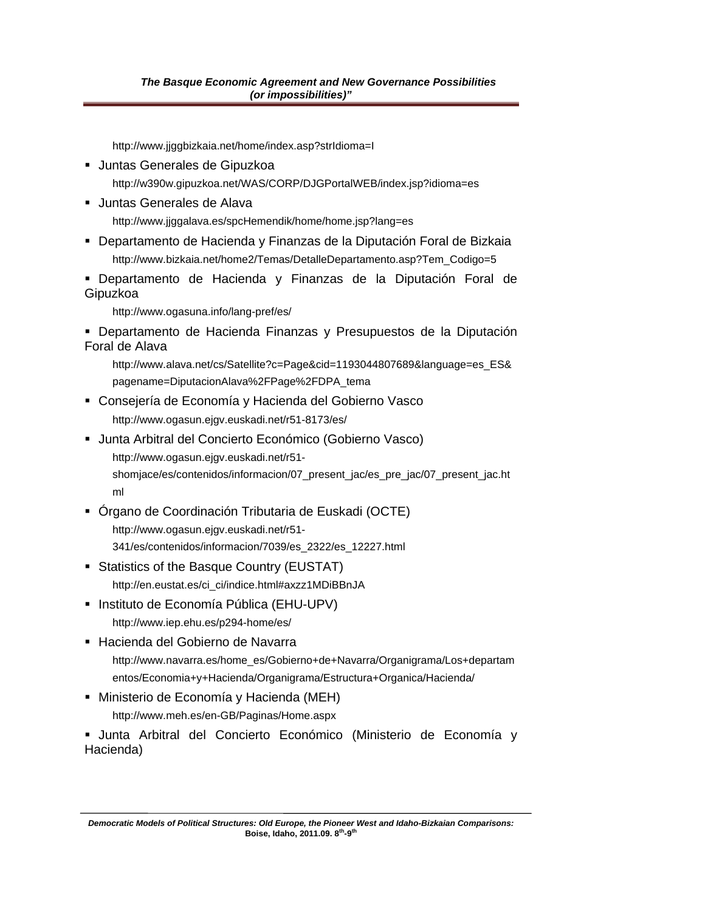http://www.jjggbizkaia.net/home/index.asp?strIdioma=I

- Juntas Generales de Gipuzkoa http://w390w.gipuzkoa.net/WAS/CORP/DJGPortalWEB/index.jsp?idioma=es
- Juntas Generales de Alava http://www.jjggalava.es/spcHemendik/home/home.jsp?lang=es
- Departamento de Hacienda y Finanzas de la Diputación Foral de Bizkaia http://www.bizkaia.net/home2/Temas/DetalleDepartamento.asp?Tem\_Codigo=5
- Departamento de Hacienda y Finanzas de la Diputación Foral de Gipuzkoa

http://www.ogasuna.info/lang-pref/es/

 Departamento de Hacienda Finanzas y Presupuestos de la Diputación Foral de Alava

http://www.alava.net/cs/Satellite?c=Page&cid=1193044807689&language=es\_ES& pagename=DiputacionAlava%2FPage%2FDPA\_tema

- Consejería de Economía y Hacienda del Gobierno Vasco http://www.ogasun.ejgv.euskadi.net/r51-8173/es/
- Junta Arbitral del Concierto Económico (Gobierno Vasco) http://www.ogasun.ejgv.euskadi.net/r51 shomjace/es/contenidos/informacion/07\_present\_jac/es\_pre\_jac/07\_present\_jac.ht ml
- Órgano de Coordinación Tributaria de Euskadi (OCTE) http://www.ogasun.ejgv.euskadi.net/r51- 341/es/contenidos/informacion/7039/es\_2322/es\_12227.html
- **Statistics of the Basque Country (EUSTAT)** http://en.eustat.es/ci\_ci/indice.html#axzz1MDiBBnJA
- **Instituto de Economía Pública (EHU-UPV)** http://www.iep.ehu.es/p294-home/es/
- Hacienda del Gobierno de Navarra http://www.navarra.es/home\_es/Gobierno+de+Navarra/Organigrama/Los+departam entos/Economia+y+Hacienda/Organigrama/Estructura+Organica/Hacienda/
- Ministerio de Economía y Hacienda (MEH) http://www.meh.es/en-GB/Paginas/Home.aspx

 Junta Arbitral del Concierto Económico (Ministerio de Economía y Hacienda)